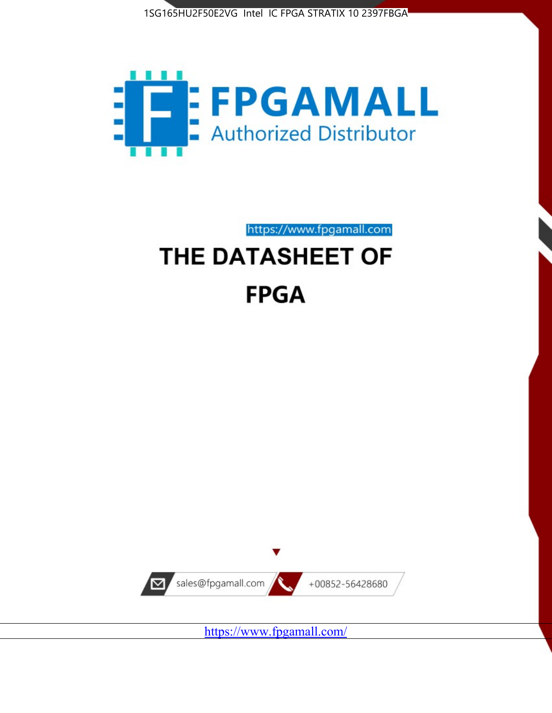



https://www.fpgamall.com

# THE DATASHEET OF **FPGA**



<https://www.fpgamall.com/>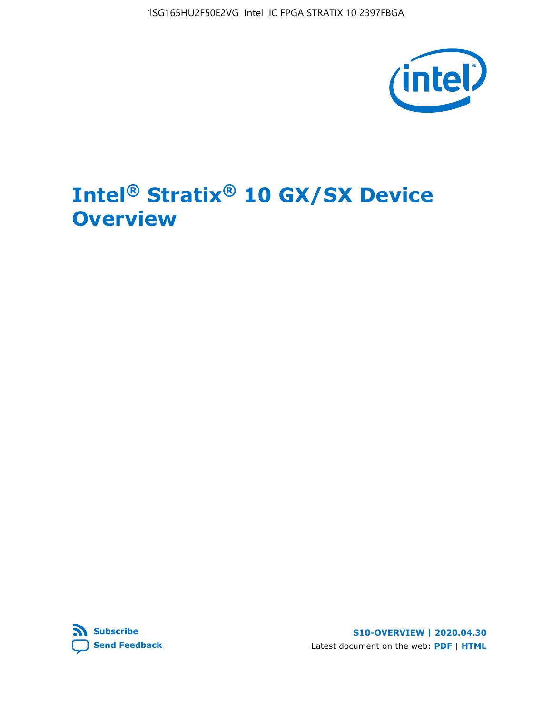1SG165HU2F50E2VG Intel IC FPGA STRATIX 10 2397FBGA



# **Intel® Stratix® 10 GX/SX Device Overview**



**S10-OVERVIEW | 2020.04.30** Latest document on the web: **[PDF](https://www.intel.com/content/dam/www/programmable/us/en/pdfs/literature/hb/stratix-10/s10-overview.pdf)** | **[HTML](https://www.intel.com/content/www/us/en/programmable/documentation/joc1442261161666.html)**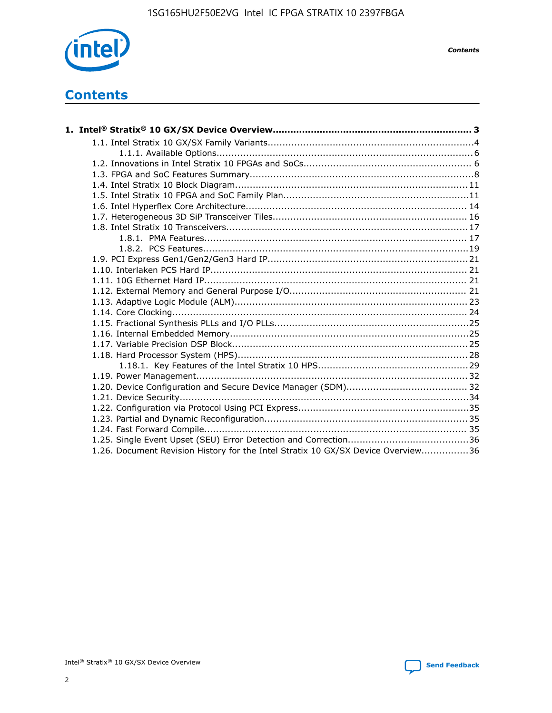

*Contents*

# **Contents**

| 1.26. Document Revision History for the Intel Stratix 10 GX/SX Device Overview36 |  |
|----------------------------------------------------------------------------------|--|

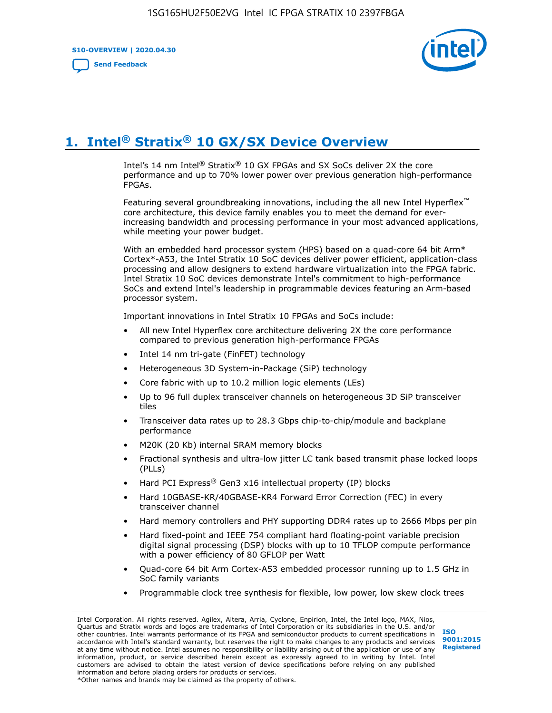**S10-OVERVIEW | 2020.04.30**

**[Send Feedback](mailto:FPGAtechdocfeedback@intel.com?subject=Feedback%20on%20Intel%20Stratix%2010%20GX/SX%20Device%20Overview%20(S10-OVERVIEW%202020.04.30)&body=We%20appreciate%20your%20feedback.%20In%20your%20comments,%20also%20specify%20the%20page%20number%20or%20paragraph.%20Thank%20you.)**



# **1. Intel® Stratix® 10 GX/SX Device Overview**

Intel's 14 nm Intel® Stratix® 10 GX FPGAs and SX SoCs deliver 2X the core performance and up to 70% lower power over previous generation high-performance FPGAs.

Featuring several groundbreaking innovations, including the all new Intel Hyperflex™ core architecture, this device family enables you to meet the demand for everincreasing bandwidth and processing performance in your most advanced applications, while meeting your power budget.

With an embedded hard processor system (HPS) based on a quad-core 64 bit Arm\* Cortex\*-A53, the Intel Stratix 10 SoC devices deliver power efficient, application-class processing and allow designers to extend hardware virtualization into the FPGA fabric. Intel Stratix 10 SoC devices demonstrate Intel's commitment to high-performance SoCs and extend Intel's leadership in programmable devices featuring an Arm-based processor system.

Important innovations in Intel Stratix 10 FPGAs and SoCs include:

- All new Intel Hyperflex core architecture delivering 2X the core performance compared to previous generation high-performance FPGAs
- Intel 14 nm tri-gate (FinFET) technology
- Heterogeneous 3D System-in-Package (SiP) technology
- Core fabric with up to 10.2 million logic elements (LEs)
- Up to 96 full duplex transceiver channels on heterogeneous 3D SiP transceiver tiles
- Transceiver data rates up to 28.3 Gbps chip-to-chip/module and backplane performance
- M20K (20 Kb) internal SRAM memory blocks
- Fractional synthesis and ultra-low jitter LC tank based transmit phase locked loops (PLLs)
- Hard PCI Express<sup>®</sup> Gen3 x16 intellectual property (IP) blocks
- Hard 10GBASE-KR/40GBASE-KR4 Forward Error Correction (FEC) in every transceiver channel
- Hard memory controllers and PHY supporting DDR4 rates up to 2666 Mbps per pin
- Hard fixed-point and IEEE 754 compliant hard floating-point variable precision digital signal processing (DSP) blocks with up to 10 TFLOP compute performance with a power efficiency of 80 GFLOP per Watt
- Quad-core 64 bit Arm Cortex-A53 embedded processor running up to 1.5 GHz in SoC family variants
- Programmable clock tree synthesis for flexible, low power, low skew clock trees

Intel Corporation. All rights reserved. Agilex, Altera, Arria, Cyclone, Enpirion, Intel, the Intel logo, MAX, Nios, Quartus and Stratix words and logos are trademarks of Intel Corporation or its subsidiaries in the U.S. and/or other countries. Intel warrants performance of its FPGA and semiconductor products to current specifications in accordance with Intel's standard warranty, but reserves the right to make changes to any products and services at any time without notice. Intel assumes no responsibility or liability arising out of the application or use of any information, product, or service described herein except as expressly agreed to in writing by Intel. Intel customers are advised to obtain the latest version of device specifications before relying on any published information and before placing orders for products or services. \*Other names and brands may be claimed as the property of others.

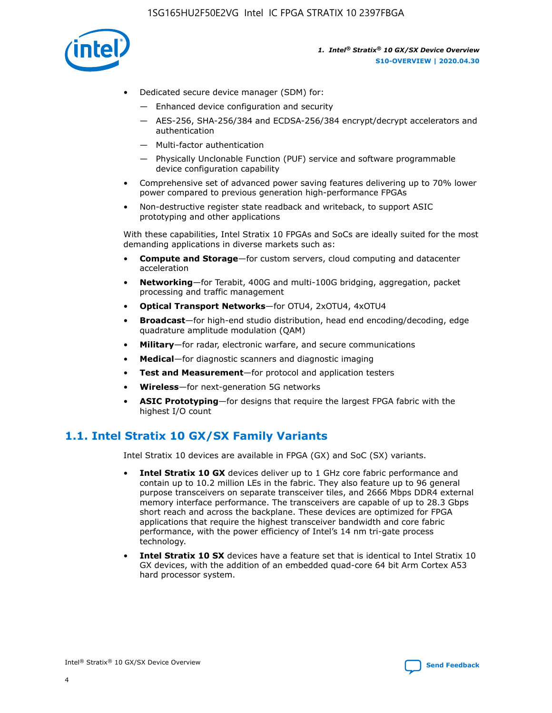

- Dedicated secure device manager (SDM) for:
	- Enhanced device configuration and security
	- AES-256, SHA-256/384 and ECDSA-256/384 encrypt/decrypt accelerators and authentication
	- Multi-factor authentication
	- Physically Unclonable Function (PUF) service and software programmable device configuration capability
- Comprehensive set of advanced power saving features delivering up to 70% lower power compared to previous generation high-performance FPGAs
- Non-destructive register state readback and writeback, to support ASIC prototyping and other applications

With these capabilities, Intel Stratix 10 FPGAs and SoCs are ideally suited for the most demanding applications in diverse markets such as:

- **Compute and Storage**—for custom servers, cloud computing and datacenter acceleration
- **Networking**—for Terabit, 400G and multi-100G bridging, aggregation, packet processing and traffic management
- **Optical Transport Networks**—for OTU4, 2xOTU4, 4xOTU4
- **Broadcast**—for high-end studio distribution, head end encoding/decoding, edge quadrature amplitude modulation (QAM)
- **Military**—for radar, electronic warfare, and secure communications
- **Medical**—for diagnostic scanners and diagnostic imaging
- **Test and Measurement**—for protocol and application testers
- **Wireless**—for next-generation 5G networks
- **ASIC Prototyping**—for designs that require the largest FPGA fabric with the highest I/O count

# **1.1. Intel Stratix 10 GX/SX Family Variants**

Intel Stratix 10 devices are available in FPGA (GX) and SoC (SX) variants.

- **Intel Stratix 10 GX** devices deliver up to 1 GHz core fabric performance and contain up to 10.2 million LEs in the fabric. They also feature up to 96 general purpose transceivers on separate transceiver tiles, and 2666 Mbps DDR4 external memory interface performance. The transceivers are capable of up to 28.3 Gbps short reach and across the backplane. These devices are optimized for FPGA applications that require the highest transceiver bandwidth and core fabric performance, with the power efficiency of Intel's 14 nm tri-gate process technology.
- **Intel Stratix 10 SX** devices have a feature set that is identical to Intel Stratix 10 GX devices, with the addition of an embedded quad-core 64 bit Arm Cortex A53 hard processor system.

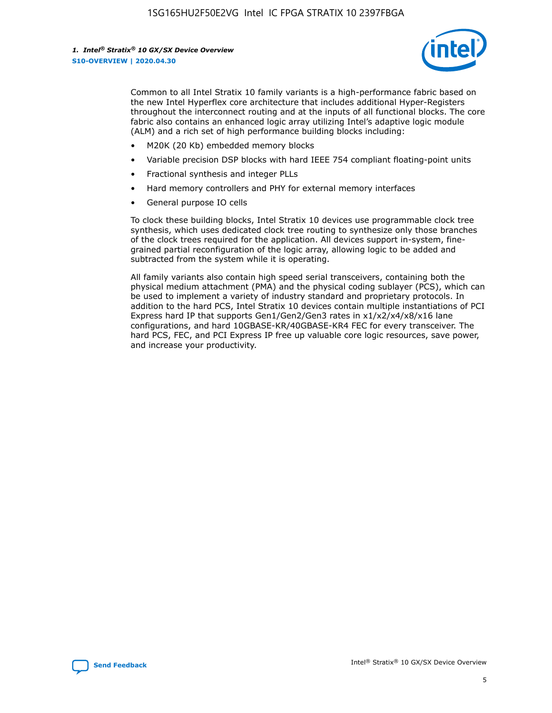

Common to all Intel Stratix 10 family variants is a high-performance fabric based on the new Intel Hyperflex core architecture that includes additional Hyper-Registers throughout the interconnect routing and at the inputs of all functional blocks. The core fabric also contains an enhanced logic array utilizing Intel's adaptive logic module (ALM) and a rich set of high performance building blocks including:

- M20K (20 Kb) embedded memory blocks
- Variable precision DSP blocks with hard IEEE 754 compliant floating-point units
- Fractional synthesis and integer PLLs
- Hard memory controllers and PHY for external memory interfaces
- General purpose IO cells

To clock these building blocks, Intel Stratix 10 devices use programmable clock tree synthesis, which uses dedicated clock tree routing to synthesize only those branches of the clock trees required for the application. All devices support in-system, finegrained partial reconfiguration of the logic array, allowing logic to be added and subtracted from the system while it is operating.

All family variants also contain high speed serial transceivers, containing both the physical medium attachment (PMA) and the physical coding sublayer (PCS), which can be used to implement a variety of industry standard and proprietary protocols. In addition to the hard PCS, Intel Stratix 10 devices contain multiple instantiations of PCI Express hard IP that supports Gen1/Gen2/Gen3 rates in x1/x2/x4/x8/x16 lane configurations, and hard 10GBASE-KR/40GBASE-KR4 FEC for every transceiver. The hard PCS, FEC, and PCI Express IP free up valuable core logic resources, save power, and increase your productivity.

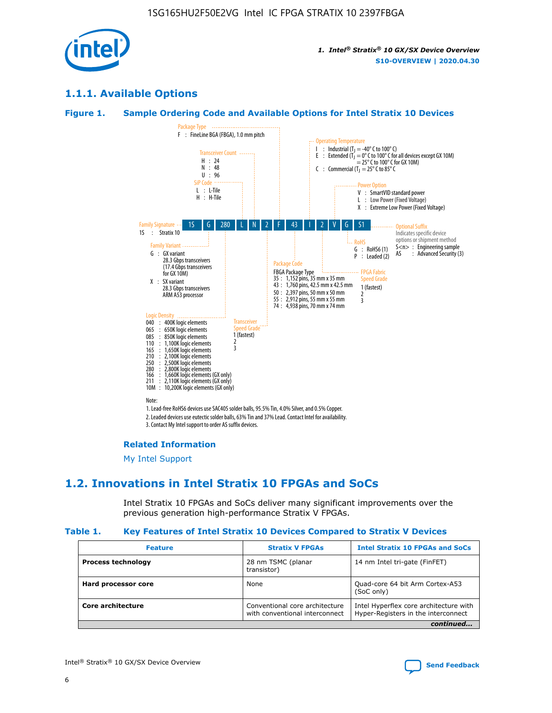

# **1.1.1. Available Options**

#### **Figure 1. Sample Ordering Code and Available Options for Intel Stratix 10 Devices**



# **Related Information**

[My Intel Support](https://www.intel.com/content/www/us/en/programmable/my-intel/mal-home.html)

# **1.2. Innovations in Intel Stratix 10 FPGAs and SoCs**

Intel Stratix 10 FPGAs and SoCs deliver many significant improvements over the previous generation high-performance Stratix V FPGAs.

#### **Table 1. Key Features of Intel Stratix 10 Devices Compared to Stratix V Devices**

| <b>Feature</b>            | <b>Stratix V FPGAs</b>                                           | <b>Intel Stratix 10 FPGAs and SoCs</b>                                        |  |
|---------------------------|------------------------------------------------------------------|-------------------------------------------------------------------------------|--|
| <b>Process technology</b> | 28 nm TSMC (planar<br>transistor)                                | 14 nm Intel tri-gate (FinFET)                                                 |  |
| Hard processor core       | None                                                             | Quad-core 64 bit Arm Cortex-A53<br>(SoC only)                                 |  |
| Core architecture         | Conventional core architecture<br>with conventional interconnect | Intel Hyperflex core architecture with<br>Hyper-Registers in the interconnect |  |
|                           |                                                                  | continued                                                                     |  |

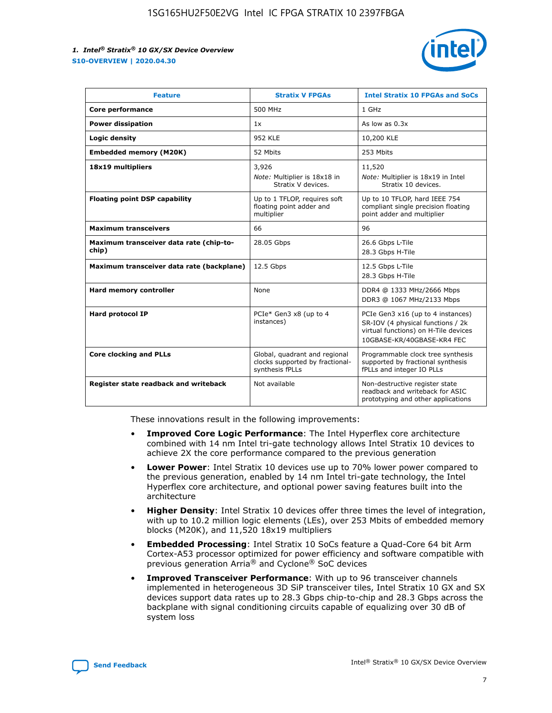

| <b>Feature</b>                                   | <b>Stratix V FPGAs</b>                                                              | <b>Intel Stratix 10 FPGAs and SoCs</b>                                                                                                       |
|--------------------------------------------------|-------------------------------------------------------------------------------------|----------------------------------------------------------------------------------------------------------------------------------------------|
| Core performance                                 | 500 MHz                                                                             | 1 GHz                                                                                                                                        |
| <b>Power dissipation</b>                         | 1x                                                                                  | As low as $0.3x$                                                                                                                             |
| Logic density                                    | 952 KLE                                                                             | 10,200 KLE                                                                                                                                   |
| <b>Embedded memory (M20K)</b>                    | 52 Mbits                                                                            | 253 Mbits                                                                                                                                    |
| 18x19 multipliers                                | 3,926                                                                               | 11,520                                                                                                                                       |
|                                                  | Note: Multiplier is 18x18 in<br>Stratix V devices.                                  | Note: Multiplier is 18x19 in Intel<br>Stratix 10 devices.                                                                                    |
| <b>Floating point DSP capability</b>             | Up to 1 TFLOP, requires soft<br>floating point adder and<br>multiplier              | Up to 10 TFLOP, hard IEEE 754<br>compliant single precision floating<br>point adder and multiplier                                           |
| <b>Maximum transceivers</b>                      | 66                                                                                  | 96                                                                                                                                           |
| Maximum transceiver data rate (chip-to-<br>chip) | 28.05 Gbps                                                                          | 26.6 Gbps L-Tile<br>28.3 Gbps H-Tile                                                                                                         |
| Maximum transceiver data rate (backplane)        | 12.5 Gbps                                                                           | 12.5 Gbps L-Tile<br>28.3 Gbps H-Tile                                                                                                         |
| Hard memory controller                           | None                                                                                | DDR4 @ 1333 MHz/2666 Mbps<br>DDR3 @ 1067 MHz/2133 Mbps                                                                                       |
| <b>Hard protocol IP</b>                          | PCIe* Gen3 x8 (up to 4<br>instances)                                                | PCIe Gen3 x16 (up to 4 instances)<br>SR-IOV (4 physical functions / 2k<br>virtual functions) on H-Tile devices<br>10GBASE-KR/40GBASE-KR4 FEC |
| <b>Core clocking and PLLs</b>                    | Global, quadrant and regional<br>clocks supported by fractional-<br>synthesis fPLLs | Programmable clock tree synthesis<br>supported by fractional synthesis<br>fPLLs and integer IO PLLs                                          |
| Register state readback and writeback            | Not available                                                                       | Non-destructive register state<br>readback and writeback for ASIC<br>prototyping and other applications                                      |

These innovations result in the following improvements:

- **Improved Core Logic Performance**: The Intel Hyperflex core architecture combined with 14 nm Intel tri-gate technology allows Intel Stratix 10 devices to achieve 2X the core performance compared to the previous generation
- **Lower Power**: Intel Stratix 10 devices use up to 70% lower power compared to the previous generation, enabled by 14 nm Intel tri-gate technology, the Intel Hyperflex core architecture, and optional power saving features built into the architecture
- **Higher Density**: Intel Stratix 10 devices offer three times the level of integration, with up to 10.2 million logic elements (LEs), over 253 Mbits of embedded memory blocks (M20K), and 11,520 18x19 multipliers
- **Embedded Processing**: Intel Stratix 10 SoCs feature a Quad-Core 64 bit Arm Cortex-A53 processor optimized for power efficiency and software compatible with previous generation Arria® and Cyclone® SoC devices
- **Improved Transceiver Performance**: With up to 96 transceiver channels implemented in heterogeneous 3D SiP transceiver tiles, Intel Stratix 10 GX and SX devices support data rates up to 28.3 Gbps chip-to-chip and 28.3 Gbps across the backplane with signal conditioning circuits capable of equalizing over 30 dB of system loss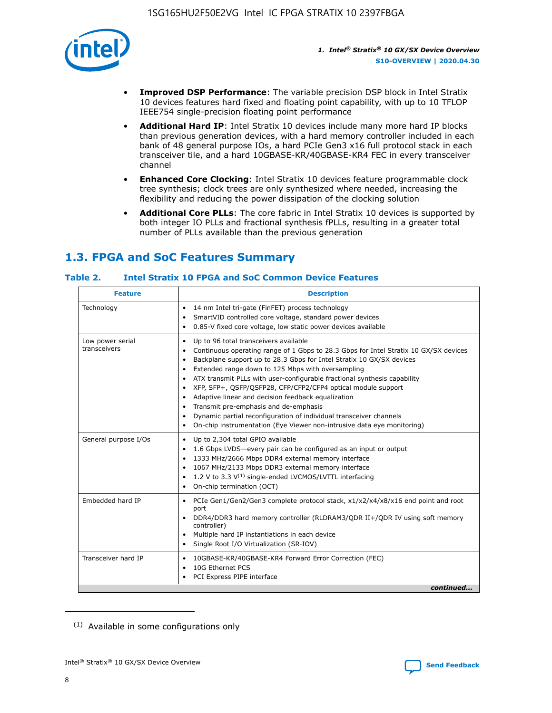

- **Improved DSP Performance**: The variable precision DSP block in Intel Stratix 10 devices features hard fixed and floating point capability, with up to 10 TFLOP IEEE754 single-precision floating point performance
- **Additional Hard IP**: Intel Stratix 10 devices include many more hard IP blocks than previous generation devices, with a hard memory controller included in each bank of 48 general purpose IOs, a hard PCIe Gen3 x16 full protocol stack in each transceiver tile, and a hard 10GBASE-KR/40GBASE-KR4 FEC in every transceiver channel
- **Enhanced Core Clocking**: Intel Stratix 10 devices feature programmable clock tree synthesis; clock trees are only synthesized where needed, increasing the flexibility and reducing the power dissipation of the clocking solution
- **Additional Core PLLs**: The core fabric in Intel Stratix 10 devices is supported by both integer IO PLLs and fractional synthesis fPLLs, resulting in a greater total number of PLLs available than the previous generation

# **1.3. FPGA and SoC Features Summary**

#### **Table 2. Intel Stratix 10 FPGA and SoC Common Device Features**

| <b>Description</b><br><b>Feature</b> |                                                                                                                                                                                                                                                                                                                                                                                                                                                                                                                                                                                                                                                                                                                            |  |  |  |
|--------------------------------------|----------------------------------------------------------------------------------------------------------------------------------------------------------------------------------------------------------------------------------------------------------------------------------------------------------------------------------------------------------------------------------------------------------------------------------------------------------------------------------------------------------------------------------------------------------------------------------------------------------------------------------------------------------------------------------------------------------------------------|--|--|--|
| Technology                           | 14 nm Intel tri-gate (FinFET) process technology<br>$\bullet$<br>SmartVID controlled core voltage, standard power devices<br>0.85-V fixed core voltage, low static power devices available<br>$\bullet$                                                                                                                                                                                                                                                                                                                                                                                                                                                                                                                    |  |  |  |
| Low power serial<br>transceivers     | Up to 96 total transceivers available<br>$\bullet$<br>Continuous operating range of 1 Gbps to 28.3 Gbps for Intel Stratix 10 GX/SX devices<br>Backplane support up to 28.3 Gbps for Intel Stratix 10 GX/SX devices<br>$\bullet$<br>Extended range down to 125 Mbps with oversampling<br>ATX transmit PLLs with user-configurable fractional synthesis capability<br>$\bullet$<br>• XFP, SFP+, QSFP/QSFP28, CFP/CFP2/CFP4 optical module support<br>• Adaptive linear and decision feedback equalization<br>Transmit pre-emphasis and de-emphasis<br>Dynamic partial reconfiguration of individual transceiver channels<br>$\bullet$<br>On-chip instrumentation (Eye Viewer non-intrusive data eye monitoring)<br>$\bullet$ |  |  |  |
| General purpose I/Os                 | Up to 2,304 total GPIO available<br>$\bullet$<br>1.6 Gbps LVDS-every pair can be configured as an input or output<br>$\bullet$<br>1333 MHz/2666 Mbps DDR4 external memory interface<br>1067 MHz/2133 Mbps DDR3 external memory interface<br>• 1.2 V to 3.3 $V^{(1)}$ single-ended LVCMOS/LVTTL interfacing<br>On-chip termination (OCT)<br>$\bullet$                                                                                                                                                                                                                                                                                                                                                                       |  |  |  |
| Embedded hard IP                     | PCIe Gen1/Gen2/Gen3 complete protocol stack, x1/x2/x4/x8/x16 end point and root<br>$\bullet$<br>port<br>DDR4/DDR3 hard memory controller (RLDRAM3/QDR II+/QDR IV using soft memory<br>controller)<br>• Multiple hard IP instantiations in each device<br>• Single Root I/O Virtualization (SR-IOV)                                                                                                                                                                                                                                                                                                                                                                                                                         |  |  |  |
| Transceiver hard IP                  | 10GBASE-KR/40GBASE-KR4 Forward Error Correction (FEC)<br>$\bullet$<br>10G Ethernet PCS<br>$\bullet$<br>PCI Express PIPE interface<br>$\bullet$<br>continued                                                                                                                                                                                                                                                                                                                                                                                                                                                                                                                                                                |  |  |  |

<sup>(1)</sup> Available in some configurations only

8

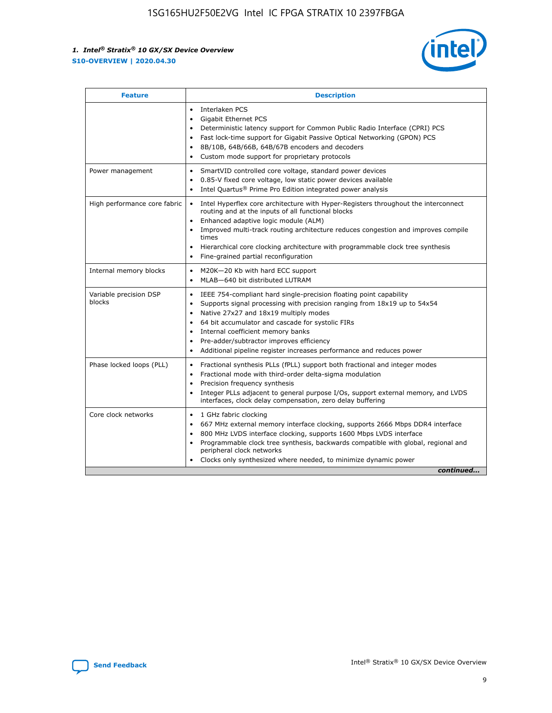

| <b>Feature</b>                   | <b>Description</b>                                                                                                                                                                                                                                                                                                                                                                                                                                                    |
|----------------------------------|-----------------------------------------------------------------------------------------------------------------------------------------------------------------------------------------------------------------------------------------------------------------------------------------------------------------------------------------------------------------------------------------------------------------------------------------------------------------------|
|                                  | Interlaken PCS<br>$\bullet$<br>Gigabit Ethernet PCS<br>$\bullet$<br>Deterministic latency support for Common Public Radio Interface (CPRI) PCS<br>$\bullet$<br>Fast lock-time support for Gigabit Passive Optical Networking (GPON) PCS<br>$\bullet$<br>8B/10B, 64B/66B, 64B/67B encoders and decoders<br>Custom mode support for proprietary protocols                                                                                                               |
| Power management                 | SmartVID controlled core voltage, standard power devices<br>$\bullet$<br>0.85-V fixed core voltage, low static power devices available<br>$\bullet$<br>Intel Quartus <sup>®</sup> Prime Pro Edition integrated power analysis<br>$\bullet$                                                                                                                                                                                                                            |
| High performance core fabric     | Intel Hyperflex core architecture with Hyper-Registers throughout the interconnect<br>routing and at the inputs of all functional blocks<br>Enhanced adaptive logic module (ALM)<br>$\bullet$<br>Improved multi-track routing architecture reduces congestion and improves compile<br>times<br>Hierarchical core clocking architecture with programmable clock tree synthesis<br>$\bullet$<br>Fine-grained partial reconfiguration                                    |
| Internal memory blocks           | M20K-20 Kb with hard ECC support<br>$\bullet$<br>MLAB-640 bit distributed LUTRAM<br>$\bullet$                                                                                                                                                                                                                                                                                                                                                                         |
| Variable precision DSP<br>blocks | IEEE 754-compliant hard single-precision floating point capability<br>$\bullet$<br>Supports signal processing with precision ranging from 18x19 up to 54x54<br>$\bullet$<br>Native 27x27 and 18x19 multiply modes<br>$\bullet$<br>64 bit accumulator and cascade for systolic FIRs<br>Internal coefficient memory banks<br>Pre-adder/subtractor improves efficiency<br>$\bullet$<br>Additional pipeline register increases performance and reduces power<br>$\bullet$ |
| Phase locked loops (PLL)         | Fractional synthesis PLLs (fPLL) support both fractional and integer modes<br>$\bullet$<br>Fractional mode with third-order delta-sigma modulation<br>Precision frequency synthesis<br>$\bullet$<br>Integer PLLs adjacent to general purpose I/Os, support external memory, and LVDS<br>$\bullet$<br>interfaces, clock delay compensation, zero delay buffering                                                                                                       |
| Core clock networks              | 1 GHz fabric clocking<br>$\bullet$<br>667 MHz external memory interface clocking, supports 2666 Mbps DDR4 interface<br>٠<br>800 MHz LVDS interface clocking, supports 1600 Mbps LVDS interface<br>$\bullet$<br>Programmable clock tree synthesis, backwards compatible with global, regional and<br>$\bullet$<br>peripheral clock networks<br>Clocks only synthesized where needed, to minimize dynamic power<br>continued                                            |

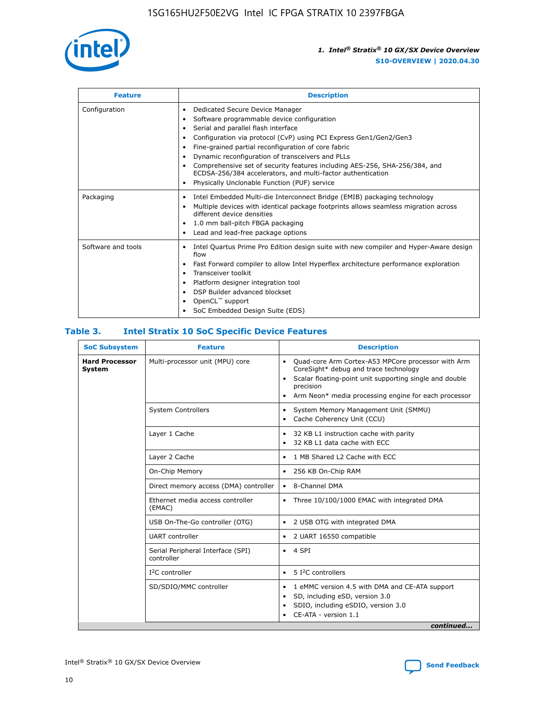

| <b>Feature</b>     | <b>Description</b>                                                                                                                                                                                                                                                                                                                                                                                                                                                                                                                         |  |  |  |
|--------------------|--------------------------------------------------------------------------------------------------------------------------------------------------------------------------------------------------------------------------------------------------------------------------------------------------------------------------------------------------------------------------------------------------------------------------------------------------------------------------------------------------------------------------------------------|--|--|--|
| Configuration      | Dedicated Secure Device Manager<br>٠<br>Software programmable device configuration<br>Serial and parallel flash interface<br>Configuration via protocol (CvP) using PCI Express Gen1/Gen2/Gen3<br>٠<br>Fine-grained partial reconfiguration of core fabric<br>٠<br>Dynamic reconfiguration of transceivers and PLLs<br>$\bullet$<br>Comprehensive set of security features including AES-256, SHA-256/384, and<br>ECDSA-256/384 accelerators, and multi-factor authentication<br>Physically Unclonable Function (PUF) service<br>$\bullet$ |  |  |  |
| Packaging          | Intel Embedded Multi-die Interconnect Bridge (EMIB) packaging technology<br>٠<br>Multiple devices with identical package footprints allows seamless migration across<br>$\bullet$<br>different device densities<br>1.0 mm ball-pitch FBGA packaging<br>$\bullet$<br>Lead and lead-free package options                                                                                                                                                                                                                                     |  |  |  |
| Software and tools | Intel Quartus Prime Pro Edition design suite with new compiler and Hyper-Aware design<br>$\bullet$<br>flow<br>Fast Forward compiler to allow Intel Hyperflex architecture performance exploration<br>$\bullet$<br>Transceiver toolkit<br>$\bullet$<br>Platform designer integration tool<br>DSP Builder advanced blockset<br>OpenCL <sup>™</sup> support<br>SoC Embedded Design Suite (EDS)                                                                                                                                                |  |  |  |

#### **Table 3. Intel Stratix 10 SoC Specific Device Features**

| <b>SoC Subsystem</b>            | <b>Feature</b>                                  | <b>Description</b>                                                                                                                                                                                                                                                 |  |  |
|---------------------------------|-------------------------------------------------|--------------------------------------------------------------------------------------------------------------------------------------------------------------------------------------------------------------------------------------------------------------------|--|--|
| <b>Hard Processor</b><br>System | Multi-processor unit (MPU) core                 | Quad-core Arm Cortex-A53 MPCore processor with Arm<br>$\bullet$<br>CoreSight* debug and trace technology<br>Scalar floating-point unit supporting single and double<br>$\bullet$<br>precision<br>Arm Neon* media processing engine for each processor<br>$\bullet$ |  |  |
|                                 | <b>System Controllers</b>                       | System Memory Management Unit (SMMU)<br>$\bullet$<br>Cache Coherency Unit (CCU)<br>$\bullet$                                                                                                                                                                       |  |  |
|                                 | Layer 1 Cache                                   | 32 KB L1 instruction cache with parity<br>٠<br>32 KB L1 data cache with ECC<br>$\bullet$                                                                                                                                                                           |  |  |
|                                 | Layer 2 Cache                                   | 1 MB Shared L2 Cache with ECC<br>$\bullet$                                                                                                                                                                                                                         |  |  |
|                                 | On-Chip Memory                                  | 256 KB On-Chip RAM<br>$\bullet$                                                                                                                                                                                                                                    |  |  |
|                                 | Direct memory access (DMA) controller           | • 8-Channel DMA                                                                                                                                                                                                                                                    |  |  |
|                                 | Ethernet media access controller<br>(EMAC)      | Three 10/100/1000 EMAC with integrated DMA<br>$\bullet$                                                                                                                                                                                                            |  |  |
|                                 | USB On-The-Go controller (OTG)                  | 2 USB OTG with integrated DMA<br>$\bullet$                                                                                                                                                                                                                         |  |  |
|                                 | <b>UART</b> controller                          | 2 UART 16550 compatible<br>$\bullet$                                                                                                                                                                                                                               |  |  |
|                                 | Serial Peripheral Interface (SPI)<br>controller | $\bullet$ 4 SPI                                                                                                                                                                                                                                                    |  |  |
|                                 | $I2C$ controller                                | 5 <sup>2</sup> C controllers<br>$\bullet$                                                                                                                                                                                                                          |  |  |
|                                 | SD/SDIO/MMC controller                          | 1 eMMC version 4.5 with DMA and CE-ATA support<br>$\bullet$<br>SD, including eSD, version 3.0<br>٠<br>SDIO, including eSDIO, version 3.0<br>CE-ATA - version 1.1<br>continued                                                                                      |  |  |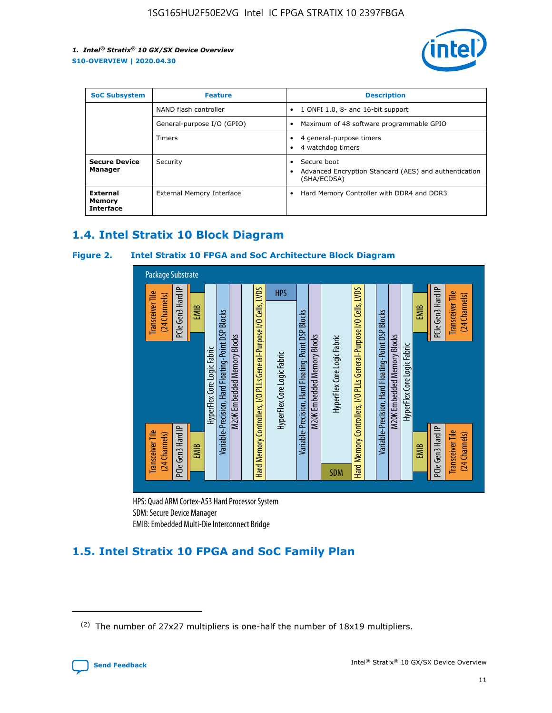

| <b>SoC Subsystem</b>                   | <b>Feature</b>             | <b>Description</b>                                                                                    |  |  |
|----------------------------------------|----------------------------|-------------------------------------------------------------------------------------------------------|--|--|
|                                        | NAND flash controller      | 1 ONFI 1.0, 8- and 16-bit support<br>$\bullet$                                                        |  |  |
|                                        | General-purpose I/O (GPIO) | Maximum of 48 software programmable GPIO<br>$\bullet$                                                 |  |  |
|                                        | Timers                     | 4 general-purpose timers<br>4 watchdog timers<br>٠                                                    |  |  |
| <b>Secure Device</b><br>Manager        | Security                   | Secure boot<br>$\bullet$<br>Advanced Encryption Standard (AES) and authentication<br>٠<br>(SHA/ECDSA) |  |  |
| External<br>Memory<br><b>Interface</b> | External Memory Interface  | Hard Memory Controller with DDR4 and DDR3<br>$\bullet$                                                |  |  |

# **1.4. Intel Stratix 10 Block Diagram**

#### **Figure 2. Intel Stratix 10 FPGA and SoC Architecture Block Diagram**



HPS: Quad ARM Cortex-A53 Hard Processor System SDM: Secure Device Manager

# **1.5. Intel Stratix 10 FPGA and SoC Family Plan**

<sup>(2)</sup> The number of 27x27 multipliers is one-half the number of 18x19 multipliers.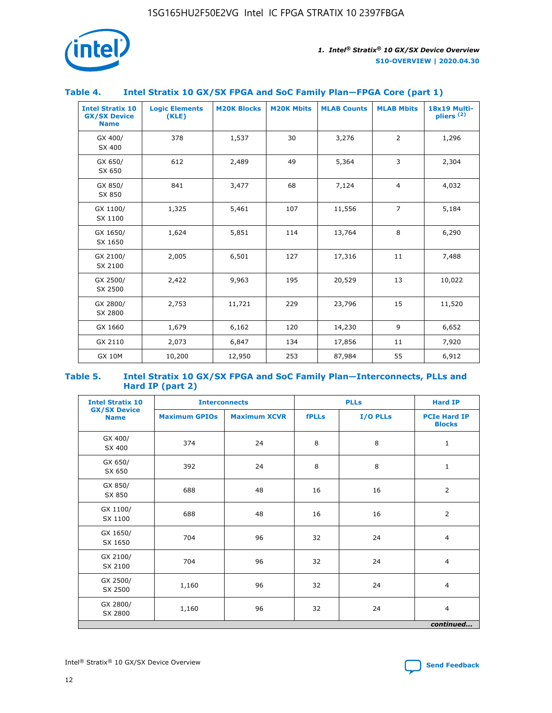

#### **Table 4. Intel Stratix 10 GX/SX FPGA and SoC Family Plan—FPGA Core (part 1)**

| <b>Intel Stratix 10</b><br><b>GX/SX Device</b><br><b>Name</b> | <b>Logic Elements</b><br>(KLE) | <b>M20K Blocks</b> | <b>M20K Mbits</b> | <b>MLAB Counts</b> | <b>MLAB Mbits</b> | 18x19 Multi-<br>$p$ liers $(2)$ |
|---------------------------------------------------------------|--------------------------------|--------------------|-------------------|--------------------|-------------------|---------------------------------|
| GX 400/<br>SX 400                                             | 378                            | 1,537              | 30                | 3,276              | 2                 | 1,296                           |
| GX 650/<br>SX 650                                             | 612                            | 2,489              | 49                | 5,364              | 3                 | 2,304                           |
| GX 850/<br>SX 850                                             | 841                            | 3,477              | 68                | 7,124              | $\overline{4}$    | 4,032                           |
| GX 1100/<br>SX 1100                                           | 1,325                          | 5,461              | 107               | 11,556             | $\overline{7}$    | 5,184                           |
| GX 1650/<br>SX 1650                                           | 1,624                          | 5,851              | 114               | 13,764             | 8                 | 6,290                           |
| GX 2100/<br>SX 2100                                           | 2,005                          | 6,501              | 127               | 17,316             | 11                | 7,488                           |
| GX 2500/<br>SX 2500                                           | 2,422                          | 9,963              | 195               | 20,529             | 13                | 10,022                          |
| GX 2800/<br>SX 2800                                           | 2,753                          | 11,721             | 229               | 23,796             | 15                | 11,520                          |
| GX 1660                                                       | 1,679                          | 6,162              | 120               | 14,230             | 9                 | 6,652                           |
| GX 2110                                                       | 2,073                          | 6,847              | 134               | 17,856             | 11                | 7,920                           |
| <b>GX 10M</b>                                                 | 10,200                         | 12,950             | 253               | 87,984             | 55                | 6,912                           |

#### **Table 5. Intel Stratix 10 GX/SX FPGA and SoC Family Plan—Interconnects, PLLs and Hard IP (part 2)**

| <b>Intel Stratix 10</b>            | <b>Interconnects</b> |                     | <b>PLLs</b>  |          | <b>Hard IP</b>                       |  |
|------------------------------------|----------------------|---------------------|--------------|----------|--------------------------------------|--|
| <b>GX/SX Device</b><br><b>Name</b> | <b>Maximum GPIOs</b> | <b>Maximum XCVR</b> | <b>fPLLs</b> | I/O PLLs | <b>PCIe Hard IP</b><br><b>Blocks</b> |  |
| GX 400/<br>SX 400                  | 374                  | 24                  | 8            | 8        | $\mathbf{1}$                         |  |
| GX 650/<br>SX 650                  | 392                  | 24                  | 8            | 8        | $\mathbf{1}$                         |  |
| GX 850/<br>SX 850                  | 688                  | 48                  | 16           | 16       | 2                                    |  |
| GX 1100/<br>SX 1100                | 688                  | 48                  | 16           | 16       | 2                                    |  |
| GX 1650/<br>SX 1650                | 704                  | 96                  | 32           | 24       | $\overline{4}$                       |  |
| GX 2100/<br>SX 2100                | 704                  | 96                  | 32           | 24       | $\overline{4}$                       |  |
| GX 2500/<br>SX 2500                | 1,160                | 96                  | 32           | 24       | $\overline{4}$                       |  |
| GX 2800/<br>SX 2800                | 1,160                | 96                  | 32           | 24       | $\overline{4}$                       |  |
| continued                          |                      |                     |              |          |                                      |  |

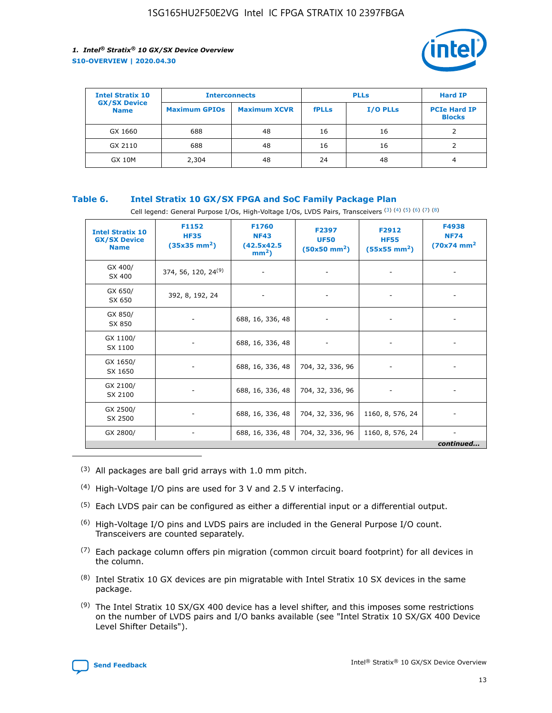

| <b>Intel Stratix 10</b>            | <b>Interconnects</b> |                     | <b>PLLs</b>  |                 | <b>Hard IP</b>                       |
|------------------------------------|----------------------|---------------------|--------------|-----------------|--------------------------------------|
| <b>GX/SX Device</b><br><b>Name</b> | <b>Maximum GPIOs</b> | <b>Maximum XCVR</b> | <b>fPLLs</b> | <b>I/O PLLs</b> | <b>PCIe Hard IP</b><br><b>Blocks</b> |
| GX 1660                            | 688                  | 48                  | 16           | 16              |                                      |
| GX 2110                            | 688                  | 48                  | 16           | 16              |                                      |
| <b>GX 10M</b>                      | 2,304                | 48                  | 24           | 48              | 4                                    |

#### **Table 6. Intel Stratix 10 GX/SX FPGA and SoC Family Package Plan**

Cell legend: General Purpose I/Os, High-Voltage I/Os, LVDS Pairs, Transceivers (3) (4) (5) (6) (7) (8)

| <b>Intel Stratix 10</b><br><b>GX/SX Device</b><br><b>Name</b> | F1152<br><b>HF35</b><br>$(35x35 \text{ mm}^2)$ | F1760<br><b>NF43</b><br>(42.5x42.5<br>$mm2$ ) | F2397<br><b>UF50</b><br>$(50x50 \text{ mm}^2)$ | F2912<br><b>HF55</b><br>$(55x55$ mm <sup>2</sup> ) | F4938<br><b>NF74</b><br>$(70x74)$ mm <sup>2</sup> |
|---------------------------------------------------------------|------------------------------------------------|-----------------------------------------------|------------------------------------------------|----------------------------------------------------|---------------------------------------------------|
| GX 400/<br>SX 400                                             | 374, 56, 120, 24 <sup>(9)</sup>                | $\overline{\phantom{a}}$                      | $\overline{\phantom{a}}$                       | ۰                                                  |                                                   |
| GX 650/<br>SX 650                                             | 392, 8, 192, 24                                | $\overline{\phantom{a}}$                      | $\overline{\phantom{a}}$                       |                                                    |                                                   |
| GX 850/<br>SX 850                                             | ۰.                                             | 688, 16, 336, 48                              |                                                |                                                    |                                                   |
| GX 1100/<br>SX 1100                                           |                                                | 688, 16, 336, 48                              |                                                |                                                    |                                                   |
| GX 1650/<br>SX 1650                                           |                                                | 688, 16, 336, 48                              | 704, 32, 336, 96                               |                                                    |                                                   |
| GX 2100/<br>SX 2100                                           | -                                              | 688, 16, 336, 48                              | 704, 32, 336, 96                               | $\overline{\phantom{a}}$                           |                                                   |
| GX 2500/<br>SX 2500                                           |                                                | 688, 16, 336, 48                              | 704, 32, 336, 96                               | 1160, 8, 576, 24                                   |                                                   |
| GX 2800/                                                      | -                                              | 688, 16, 336, 48                              | 704, 32, 336, 96                               | 1160, 8, 576, 24                                   | $\overline{\phantom{a}}$<br>continued             |

- (3) All packages are ball grid arrays with 1.0 mm pitch.
- (4) High-Voltage I/O pins are used for 3 V and 2.5 V interfacing.
- $(5)$  Each LVDS pair can be configured as either a differential input or a differential output.
- (6) High-Voltage I/O pins and LVDS pairs are included in the General Purpose I/O count. Transceivers are counted separately.
- $(7)$  Each package column offers pin migration (common circuit board footprint) for all devices in the column.
- $(8)$  Intel Stratix 10 GX devices are pin migratable with Intel Stratix 10 SX devices in the same package.
- $(9)$  The Intel Stratix 10 SX/GX 400 device has a level shifter, and this imposes some restrictions on the number of LVDS pairs and I/O banks available (see "Intel Stratix 10 SX/GX 400 Device Level Shifter Details").

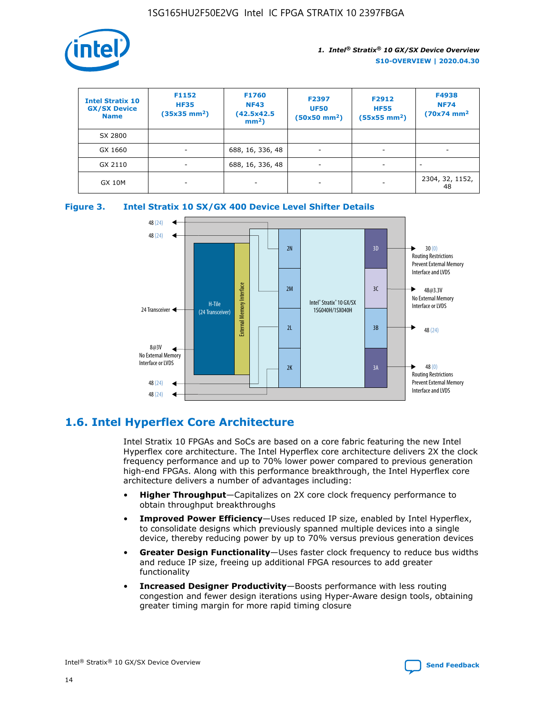

| <b>Intel Stratix 10</b><br><b>GX/SX Device</b><br><b>Name</b> | F1152<br><b>HF35</b><br>$(35x35)$ mm <sup>2</sup> ) | <b>F1760</b><br><b>NF43</b><br>(42.5x42.5<br>$mm2$ ) | F2397<br><b>UF50</b><br>$(50x50 \text{ mm}^2)$ | F2912<br><b>HF55</b><br>$(55x55$ mm <sup>2</sup> ) | F4938<br><b>NF74</b><br>$(70x74)$ mm <sup>2</sup> |
|---------------------------------------------------------------|-----------------------------------------------------|------------------------------------------------------|------------------------------------------------|----------------------------------------------------|---------------------------------------------------|
| SX 2800                                                       |                                                     |                                                      |                                                |                                                    |                                                   |
| GX 1660                                                       | -                                                   | 688, 16, 336, 48                                     | $\overline{\phantom{a}}$                       |                                                    |                                                   |
| GX 2110                                                       |                                                     | 688, 16, 336, 48                                     | $\overline{\phantom{a}}$                       |                                                    |                                                   |
| <b>GX 10M</b>                                                 | ۰                                                   |                                                      |                                                |                                                    | 2304, 32, 1152,<br>48                             |





# **1.6. Intel Hyperflex Core Architecture**

Intel Stratix 10 FPGAs and SoCs are based on a core fabric featuring the new Intel Hyperflex core architecture. The Intel Hyperflex core architecture delivers 2X the clock frequency performance and up to 70% lower power compared to previous generation high-end FPGAs. Along with this performance breakthrough, the Intel Hyperflex core architecture delivers a number of advantages including:

- **Higher Throughput**—Capitalizes on 2X core clock frequency performance to obtain throughput breakthroughs
- **Improved Power Efficiency**—Uses reduced IP size, enabled by Intel Hyperflex, to consolidate designs which previously spanned multiple devices into a single device, thereby reducing power by up to 70% versus previous generation devices
- **Greater Design Functionality**—Uses faster clock frequency to reduce bus widths and reduce IP size, freeing up additional FPGA resources to add greater functionality
- **Increased Designer Productivity**—Boosts performance with less routing congestion and fewer design iterations using Hyper-Aware design tools, obtaining greater timing margin for more rapid timing closure

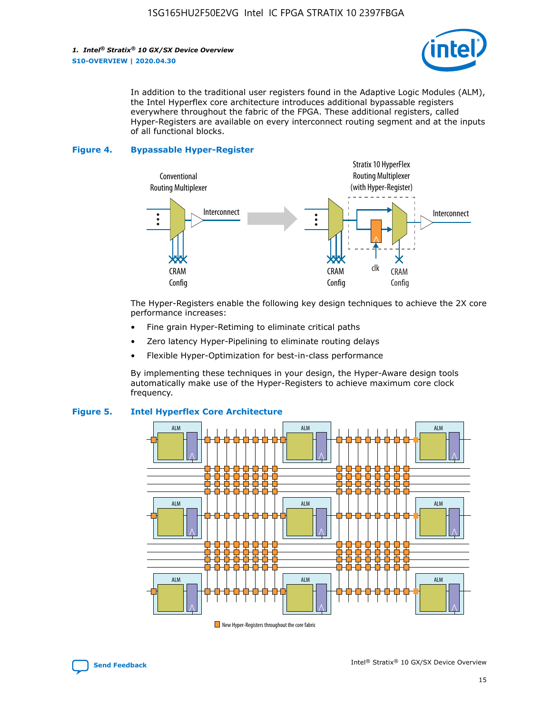

In addition to the traditional user registers found in the Adaptive Logic Modules (ALM), the Intel Hyperflex core architecture introduces additional bypassable registers everywhere throughout the fabric of the FPGA. These additional registers, called Hyper-Registers are available on every interconnect routing segment and at the inputs of all functional blocks.

#### **Figure 4. Bypassable Hyper-Register**



The Hyper-Registers enable the following key design techniques to achieve the 2X core performance increases:

- Fine grain Hyper-Retiming to eliminate critical paths
- Zero latency Hyper-Pipelining to eliminate routing delays
- Flexible Hyper-Optimization for best-in-class performance

By implementing these techniques in your design, the Hyper-Aware design tools automatically make use of the Hyper-Registers to achieve maximum core clock frequency.



#### **Figure 5. Intel Hyperflex Core Architecture**

New Hyper-Registers throughout the core fabric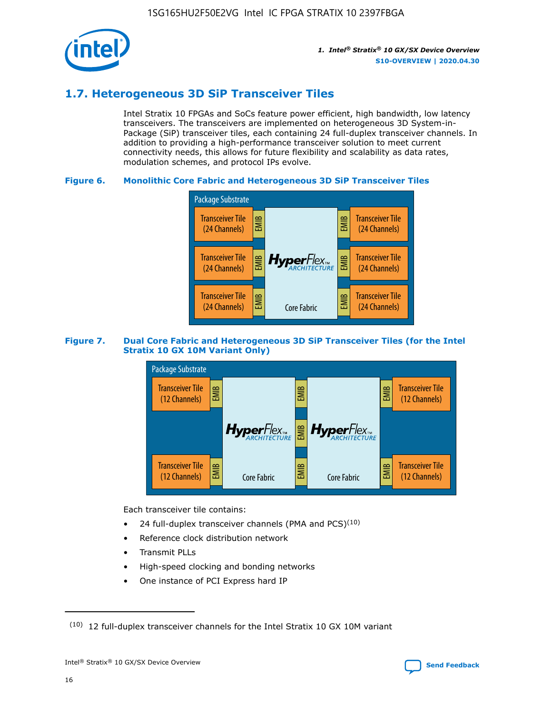

# **1.7. Heterogeneous 3D SiP Transceiver Tiles**

Intel Stratix 10 FPGAs and SoCs feature power efficient, high bandwidth, low latency transceivers. The transceivers are implemented on heterogeneous 3D System-in-Package (SiP) transceiver tiles, each containing 24 full-duplex transceiver channels. In addition to providing a high-performance transceiver solution to meet current connectivity needs, this allows for future flexibility and scalability as data rates, modulation schemes, and protocol IPs evolve.

#### **Figure 6. Monolithic Core Fabric and Heterogeneous 3D SiP Transceiver Tiles**



#### **Figure 7. Dual Core Fabric and Heterogeneous 3D SiP Transceiver Tiles (for the Intel Stratix 10 GX 10M Variant Only)**



Each transceiver tile contains:

- 24 full-duplex transceiver channels (PMA and PCS) $(10)$
- Reference clock distribution network
- Transmit PLLs
- High-speed clocking and bonding networks
- One instance of PCI Express hard IP

 $(10)$  12 full-duplex transceiver channels for the Intel Stratix 10 GX 10M variant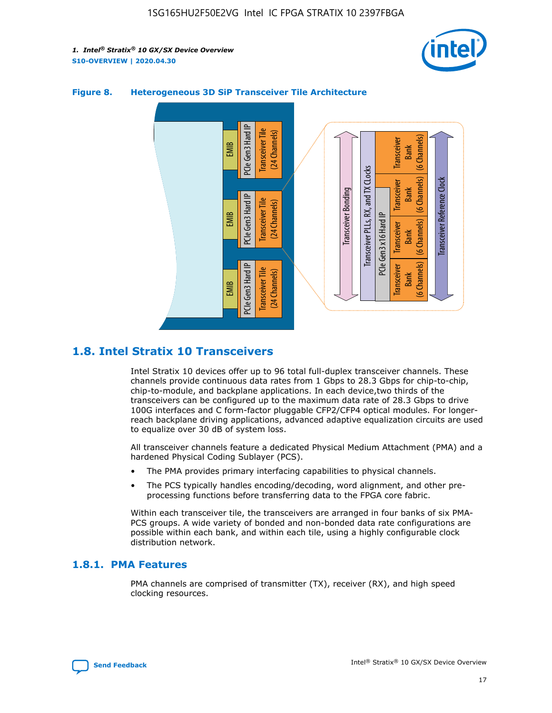



#### **Figure 8. Heterogeneous 3D SiP Transceiver Tile Architecture**

# **1.8. Intel Stratix 10 Transceivers**

Intel Stratix 10 devices offer up to 96 total full-duplex transceiver channels. These channels provide continuous data rates from 1 Gbps to 28.3 Gbps for chip-to-chip, chip-to-module, and backplane applications. In each device,two thirds of the transceivers can be configured up to the maximum data rate of 28.3 Gbps to drive 100G interfaces and C form-factor pluggable CFP2/CFP4 optical modules. For longerreach backplane driving applications, advanced adaptive equalization circuits are used to equalize over 30 dB of system loss.

All transceiver channels feature a dedicated Physical Medium Attachment (PMA) and a hardened Physical Coding Sublayer (PCS).

- The PMA provides primary interfacing capabilities to physical channels.
- The PCS typically handles encoding/decoding, word alignment, and other preprocessing functions before transferring data to the FPGA core fabric.

Within each transceiver tile, the transceivers are arranged in four banks of six PMA-PCS groups. A wide variety of bonded and non-bonded data rate configurations are possible within each bank, and within each tile, using a highly configurable clock distribution network.

#### **1.8.1. PMA Features**

PMA channels are comprised of transmitter (TX), receiver (RX), and high speed clocking resources.

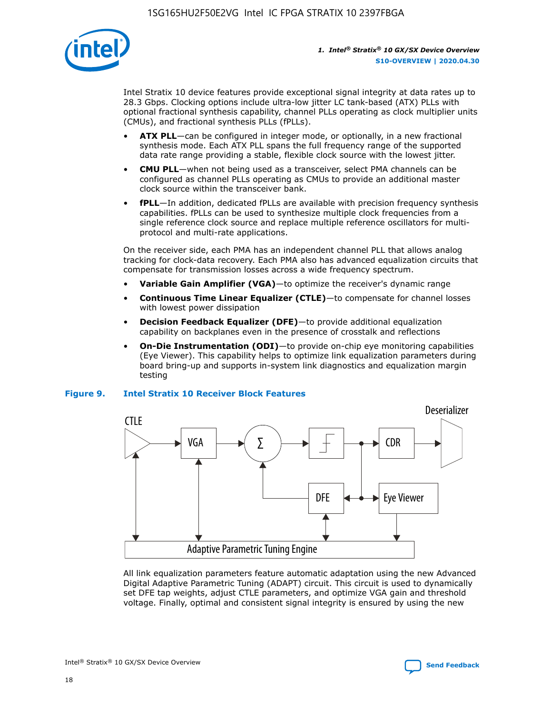

Intel Stratix 10 device features provide exceptional signal integrity at data rates up to 28.3 Gbps. Clocking options include ultra-low jitter LC tank-based (ATX) PLLs with optional fractional synthesis capability, channel PLLs operating as clock multiplier units (CMUs), and fractional synthesis PLLs (fPLLs).

- **ATX PLL**—can be configured in integer mode, or optionally, in a new fractional synthesis mode. Each ATX PLL spans the full frequency range of the supported data rate range providing a stable, flexible clock source with the lowest jitter.
- **CMU PLL**—when not being used as a transceiver, select PMA channels can be configured as channel PLLs operating as CMUs to provide an additional master clock source within the transceiver bank.
- **fPLL**—In addition, dedicated fPLLs are available with precision frequency synthesis capabilities. fPLLs can be used to synthesize multiple clock frequencies from a single reference clock source and replace multiple reference oscillators for multiprotocol and multi-rate applications.

On the receiver side, each PMA has an independent channel PLL that allows analog tracking for clock-data recovery. Each PMA also has advanced equalization circuits that compensate for transmission losses across a wide frequency spectrum.

- **Variable Gain Amplifier (VGA)**—to optimize the receiver's dynamic range
- **Continuous Time Linear Equalizer (CTLE)**—to compensate for channel losses with lowest power dissipation
- **Decision Feedback Equalizer (DFE)**—to provide additional equalization capability on backplanes even in the presence of crosstalk and reflections
- **On-Die Instrumentation (ODI)**—to provide on-chip eye monitoring capabilities (Eye Viewer). This capability helps to optimize link equalization parameters during board bring-up and supports in-system link diagnostics and equalization margin testing

#### **Figure 9. Intel Stratix 10 Receiver Block Features**



All link equalization parameters feature automatic adaptation using the new Advanced Digital Adaptive Parametric Tuning (ADAPT) circuit. This circuit is used to dynamically set DFE tap weights, adjust CTLE parameters, and optimize VGA gain and threshold voltage. Finally, optimal and consistent signal integrity is ensured by using the new

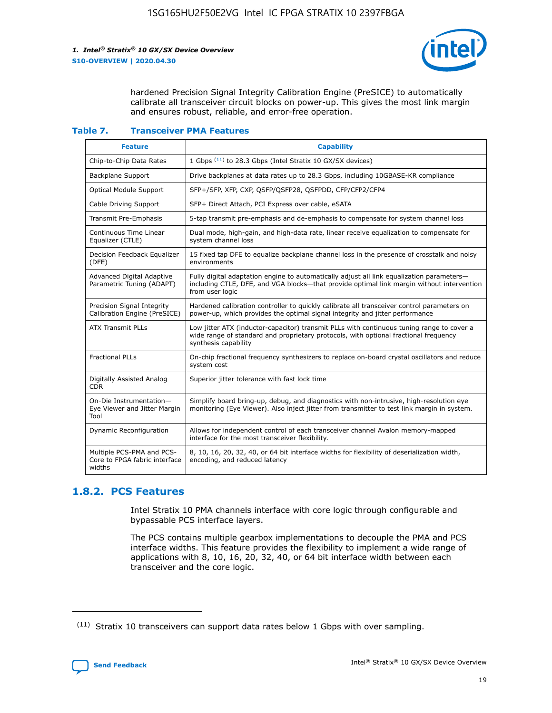

hardened Precision Signal Integrity Calibration Engine (PreSICE) to automatically calibrate all transceiver circuit blocks on power-up. This gives the most link margin and ensures robust, reliable, and error-free operation.

#### **Table 7. Transceiver PMA Features**

| <b>Feature</b>                                                       | <b>Capability</b>                                                                                                                                                                                         |
|----------------------------------------------------------------------|-----------------------------------------------------------------------------------------------------------------------------------------------------------------------------------------------------------|
| Chip-to-Chip Data Rates                                              | 1 Gbps (11) to 28.3 Gbps (Intel Stratix 10 GX/SX devices)                                                                                                                                                 |
| <b>Backplane Support</b>                                             | Drive backplanes at data rates up to 28.3 Gbps, including 10GBASE-KR compliance                                                                                                                           |
| Optical Module Support                                               | SFP+/SFP, XFP, CXP, QSFP/QSFP28, QSFPDD, CFP/CFP2/CFP4                                                                                                                                                    |
| Cable Driving Support                                                | SFP+ Direct Attach, PCI Express over cable, eSATA                                                                                                                                                         |
| <b>Transmit Pre-Emphasis</b>                                         | 5-tap transmit pre-emphasis and de-emphasis to compensate for system channel loss                                                                                                                         |
| Continuous Time Linear<br>Equalizer (CTLE)                           | Dual mode, high-gain, and high-data rate, linear receive equalization to compensate for<br>system channel loss                                                                                            |
| Decision Feedback Equalizer<br>(DFE)                                 | 15 fixed tap DFE to equalize backplane channel loss in the presence of crosstalk and noisy<br>environments                                                                                                |
| Advanced Digital Adaptive<br>Parametric Tuning (ADAPT)               | Fully digital adaptation engine to automatically adjust all link equalization parameters-<br>including CTLE, DFE, and VGA blocks-that provide optimal link margin without intervention<br>from user logic |
| Precision Signal Integrity<br>Calibration Engine (PreSICE)           | Hardened calibration controller to quickly calibrate all transceiver control parameters on<br>power-up, which provides the optimal signal integrity and jitter performance                                |
| <b>ATX Transmit PLLs</b>                                             | Low jitter ATX (inductor-capacitor) transmit PLLs with continuous tuning range to cover a<br>wide range of standard and proprietary protocols, with optional fractional frequency<br>synthesis capability |
| <b>Fractional PLLs</b>                                               | On-chip fractional frequency synthesizers to replace on-board crystal oscillators and reduce<br>system cost                                                                                               |
| Digitally Assisted Analog<br>CDR.                                    | Superior jitter tolerance with fast lock time                                                                                                                                                             |
| On-Die Instrumentation-<br>Eye Viewer and Jitter Margin<br>Tool      | Simplify board bring-up, debug, and diagnostics with non-intrusive, high-resolution eye<br>monitoring (Eye Viewer). Also inject jitter from transmitter to test link margin in system.                    |
| Dynamic Reconfiguration                                              | Allows for independent control of each transceiver channel Avalon memory-mapped<br>interface for the most transceiver flexibility.                                                                        |
| Multiple PCS-PMA and PCS-<br>Core to FPGA fabric interface<br>widths | 8, 10, 16, 20, 32, 40, or 64 bit interface widths for flexibility of deserialization width,<br>encoding, and reduced latency                                                                              |

### **1.8.2. PCS Features**

Intel Stratix 10 PMA channels interface with core logic through configurable and bypassable PCS interface layers.

The PCS contains multiple gearbox implementations to decouple the PMA and PCS interface widths. This feature provides the flexibility to implement a wide range of applications with 8, 10, 16, 20, 32, 40, or 64 bit interface width between each transceiver and the core logic.

 $(11)$  Stratix 10 transceivers can support data rates below 1 Gbps with over sampling.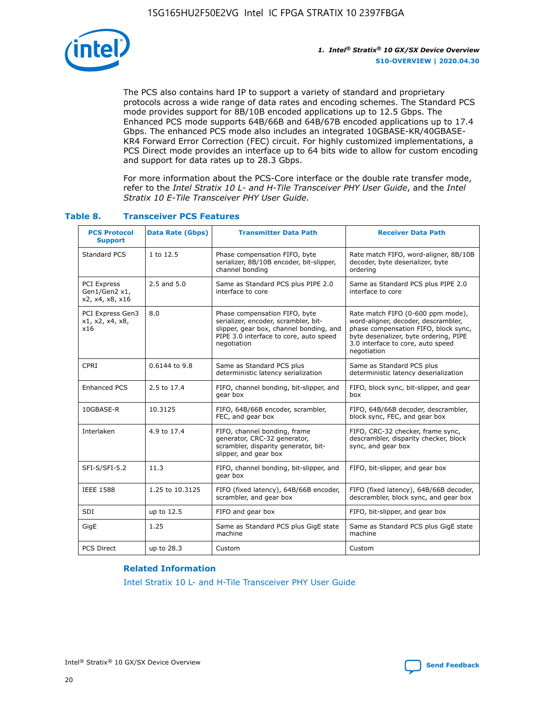

The PCS also contains hard IP to support a variety of standard and proprietary protocols across a wide range of data rates and encoding schemes. The Standard PCS mode provides support for 8B/10B encoded applications up to 12.5 Gbps. The Enhanced PCS mode supports 64B/66B and 64B/67B encoded applications up to 17.4 Gbps. The enhanced PCS mode also includes an integrated 10GBASE-KR/40GBASE-KR4 Forward Error Correction (FEC) circuit. For highly customized implementations, a PCS Direct mode provides an interface up to 64 bits wide to allow for custom encoding and support for data rates up to 28.3 Gbps.

For more information about the PCS-Core interface or the double rate transfer mode, refer to the *Intel Stratix 10 L- and H-Tile Transceiver PHY User Guide*, and the *Intel Stratix 10 E-Tile Transceiver PHY User Guide*.

| <b>PCS Protocol</b><br><b>Support</b>           | <b>Data Rate (Gbps)</b> | <b>Transmitter Data Path</b>                                                                                                                                              | <b>Receiver Data Path</b>                                                                                                                                                                                      |
|-------------------------------------------------|-------------------------|---------------------------------------------------------------------------------------------------------------------------------------------------------------------------|----------------------------------------------------------------------------------------------------------------------------------------------------------------------------------------------------------------|
| Standard PCS                                    | 1 to 12.5               | Phase compensation FIFO, byte<br>serializer, 8B/10B encoder, bit-slipper,<br>channel bonding                                                                              | Rate match FIFO, word-aligner, 8B/10B<br>decoder, byte deserializer, byte<br>ordering                                                                                                                          |
| PCI Express<br>Gen1/Gen2 x1,<br>x2, x4, x8, x16 | $2.5$ and $5.0$         | Same as Standard PCS plus PIPE 2.0<br>interface to core                                                                                                                   | Same as Standard PCS plus PIPE 2.0<br>interface to core                                                                                                                                                        |
| PCI Express Gen3<br>x1, x2, x4, x8,<br>x16      | 8.0                     | Phase compensation FIFO, byte<br>serializer, encoder, scrambler, bit-<br>slipper, gear box, channel bonding, and<br>PIPE 3.0 interface to core, auto speed<br>negotiation | Rate match FIFO (0-600 ppm mode),<br>word-aligner, decoder, descrambler,<br>phase compensation FIFO, block sync,<br>byte deserializer, byte ordering, PIPE<br>3.0 interface to core, auto speed<br>negotiation |
| CPRI                                            | 0.6144 to 9.8           | Same as Standard PCS plus<br>deterministic latency serialization                                                                                                          | Same as Standard PCS plus<br>deterministic latency deserialization                                                                                                                                             |
| <b>Enhanced PCS</b>                             | 2.5 to 17.4             | FIFO, channel bonding, bit-slipper, and<br>gear box                                                                                                                       | FIFO, block sync, bit-slipper, and gear<br>box                                                                                                                                                                 |
| 10GBASE-R                                       | 10.3125                 | FIFO, 64B/66B encoder, scrambler,<br>FEC, and gear box                                                                                                                    | FIFO, 64B/66B decoder, descrambler,<br>block sync, FEC, and gear box                                                                                                                                           |
| Interlaken                                      | 4.9 to 17.4             | FIFO, channel bonding, frame<br>generator, CRC-32 generator,<br>scrambler, disparity generator, bit-<br>slipper, and gear box                                             | FIFO, CRC-32 checker, frame sync,<br>descrambler, disparity checker, block<br>sync, and gear box                                                                                                               |
| SFI-S/SFI-5.2                                   | 11.3                    | FIFO, channel bonding, bit-slipper, and<br>gear box                                                                                                                       | FIFO, bit-slipper, and gear box                                                                                                                                                                                |
| <b>IEEE 1588</b>                                | 1.25 to 10.3125         | FIFO (fixed latency), 64B/66B encoder,<br>scrambler, and gear box                                                                                                         | FIFO (fixed latency), 64B/66B decoder,<br>descrambler, block sync, and gear box                                                                                                                                |
| SDI                                             | up to 12.5              | FIFO and gear box                                                                                                                                                         | FIFO, bit-slipper, and gear box                                                                                                                                                                                |
| GigE                                            | 1.25                    | Same as Standard PCS plus GigE state<br>machine                                                                                                                           | Same as Standard PCS plus GigE state<br>machine                                                                                                                                                                |
| <b>PCS Direct</b>                               | up to 28.3              | Custom                                                                                                                                                                    | Custom                                                                                                                                                                                                         |

#### **Table 8. Transceiver PCS Features**

#### **Related Information**

[Intel Stratix 10 L- and H-Tile Transceiver PHY User Guide](https://www.altera.com/documentation/wry1479165198810.html)

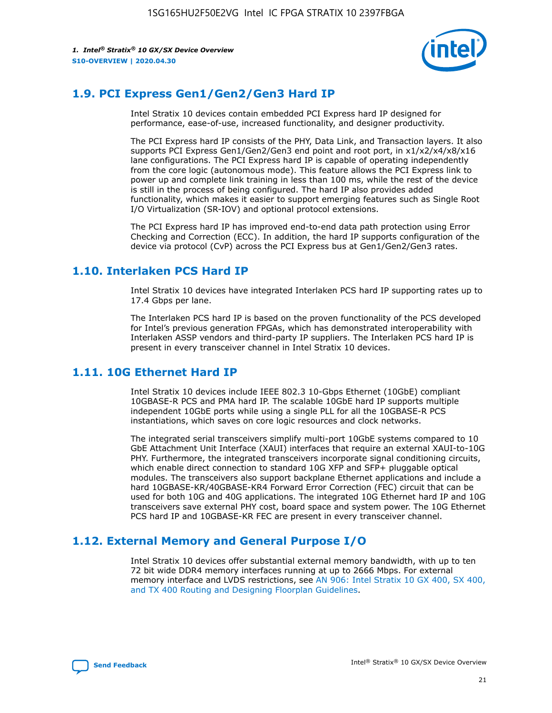

# **1.9. PCI Express Gen1/Gen2/Gen3 Hard IP**

Intel Stratix 10 devices contain embedded PCI Express hard IP designed for performance, ease-of-use, increased functionality, and designer productivity.

The PCI Express hard IP consists of the PHY, Data Link, and Transaction layers. It also supports PCI Express Gen1/Gen2/Gen3 end point and root port, in x1/x2/x4/x8/x16 lane configurations. The PCI Express hard IP is capable of operating independently from the core logic (autonomous mode). This feature allows the PCI Express link to power up and complete link training in less than 100 ms, while the rest of the device is still in the process of being configured. The hard IP also provides added functionality, which makes it easier to support emerging features such as Single Root I/O Virtualization (SR-IOV) and optional protocol extensions.

The PCI Express hard IP has improved end-to-end data path protection using Error Checking and Correction (ECC). In addition, the hard IP supports configuration of the device via protocol (CvP) across the PCI Express bus at Gen1/Gen2/Gen3 rates.

# **1.10. Interlaken PCS Hard IP**

Intel Stratix 10 devices have integrated Interlaken PCS hard IP supporting rates up to 17.4 Gbps per lane.

The Interlaken PCS hard IP is based on the proven functionality of the PCS developed for Intel's previous generation FPGAs, which has demonstrated interoperability with Interlaken ASSP vendors and third-party IP suppliers. The Interlaken PCS hard IP is present in every transceiver channel in Intel Stratix 10 devices.

# **1.11. 10G Ethernet Hard IP**

Intel Stratix 10 devices include IEEE 802.3 10-Gbps Ethernet (10GbE) compliant 10GBASE-R PCS and PMA hard IP. The scalable 10GbE hard IP supports multiple independent 10GbE ports while using a single PLL for all the 10GBASE-R PCS instantiations, which saves on core logic resources and clock networks.

The integrated serial transceivers simplify multi-port 10GbE systems compared to 10 GbE Attachment Unit Interface (XAUI) interfaces that require an external XAUI-to-10G PHY. Furthermore, the integrated transceivers incorporate signal conditioning circuits, which enable direct connection to standard 10G XFP and SFP+ pluggable optical modules. The transceivers also support backplane Ethernet applications and include a hard 10GBASE-KR/40GBASE-KR4 Forward Error Correction (FEC) circuit that can be used for both 10G and 40G applications. The integrated 10G Ethernet hard IP and 10G transceivers save external PHY cost, board space and system power. The 10G Ethernet PCS hard IP and 10GBASE-KR FEC are present in every transceiver channel.

# **1.12. External Memory and General Purpose I/O**

Intel Stratix 10 devices offer substantial external memory bandwidth, with up to ten 72 bit wide DDR4 memory interfaces running at up to 2666 Mbps. For external memory interface and LVDS restrictions, see [AN 906: Intel Stratix 10 GX 400, SX 400,](https://www.intel.com/content/www/us/en/programmable/documentation/sjf1574667190623.html#bft1574667627484) [and TX 400 Routing and Designing Floorplan Guidelines.](https://www.intel.com/content/www/us/en/programmable/documentation/sjf1574667190623.html#bft1574667627484)

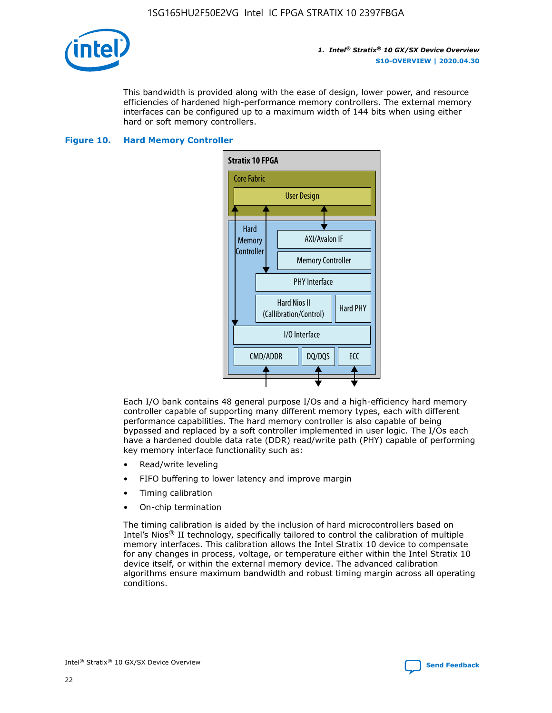

This bandwidth is provided along with the ease of design, lower power, and resource efficiencies of hardened high-performance memory controllers. The external memory interfaces can be configured up to a maximum width of 144 bits when using either hard or soft memory controllers.

#### **Figure 10. Hard Memory Controller**



Each I/O bank contains 48 general purpose I/Os and a high-efficiency hard memory controller capable of supporting many different memory types, each with different performance capabilities. The hard memory controller is also capable of being bypassed and replaced by a soft controller implemented in user logic. The I/Os each have a hardened double data rate (DDR) read/write path (PHY) capable of performing key memory interface functionality such as:

- Read/write leveling
- FIFO buffering to lower latency and improve margin
- Timing calibration
- On-chip termination

The timing calibration is aided by the inclusion of hard microcontrollers based on Intel's Nios® II technology, specifically tailored to control the calibration of multiple memory interfaces. This calibration allows the Intel Stratix 10 device to compensate for any changes in process, voltage, or temperature either within the Intel Stratix 10 device itself, or within the external memory device. The advanced calibration algorithms ensure maximum bandwidth and robust timing margin across all operating conditions.

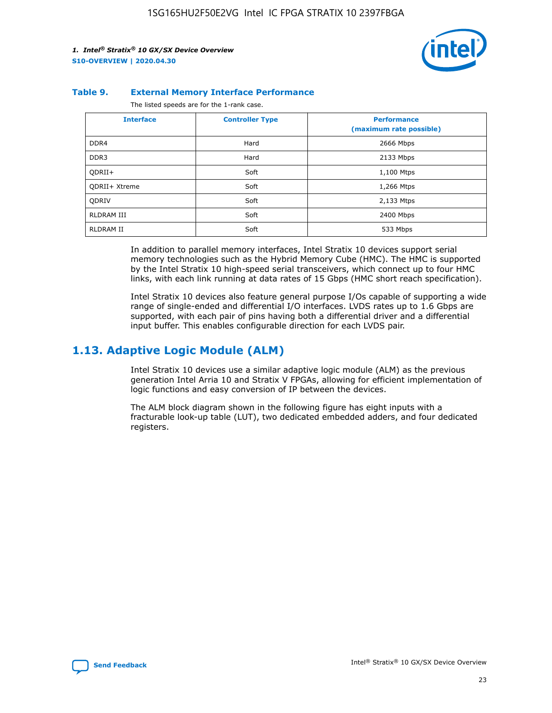

#### **Table 9. External Memory Interface Performance**

The listed speeds are for the 1-rank case.

| <b>Interface</b>     | <b>Controller Type</b> | <b>Performance</b><br>(maximum rate possible) |
|----------------------|------------------------|-----------------------------------------------|
| DDR4                 | Hard                   | 2666 Mbps                                     |
| DDR <sub>3</sub>     | Hard                   | 2133 Mbps                                     |
| QDRII+               | Soft                   | 1,100 Mtps                                    |
| <b>ODRII+ Xtreme</b> | Soft                   | 1,266 Mtps                                    |
| <b>ODRIV</b>         | Soft                   | 2,133 Mtps                                    |
| RLDRAM III           | Soft                   | 2400 Mbps                                     |
| <b>RLDRAM II</b>     | Soft                   | 533 Mbps                                      |

In addition to parallel memory interfaces, Intel Stratix 10 devices support serial memory technologies such as the Hybrid Memory Cube (HMC). The HMC is supported by the Intel Stratix 10 high-speed serial transceivers, which connect up to four HMC links, with each link running at data rates of 15 Gbps (HMC short reach specification).

Intel Stratix 10 devices also feature general purpose I/Os capable of supporting a wide range of single-ended and differential I/O interfaces. LVDS rates up to 1.6 Gbps are supported, with each pair of pins having both a differential driver and a differential input buffer. This enables configurable direction for each LVDS pair.

### **1.13. Adaptive Logic Module (ALM)**

Intel Stratix 10 devices use a similar adaptive logic module (ALM) as the previous generation Intel Arria 10 and Stratix V FPGAs, allowing for efficient implementation of logic functions and easy conversion of IP between the devices.

The ALM block diagram shown in the following figure has eight inputs with a fracturable look-up table (LUT), two dedicated embedded adders, and four dedicated registers.

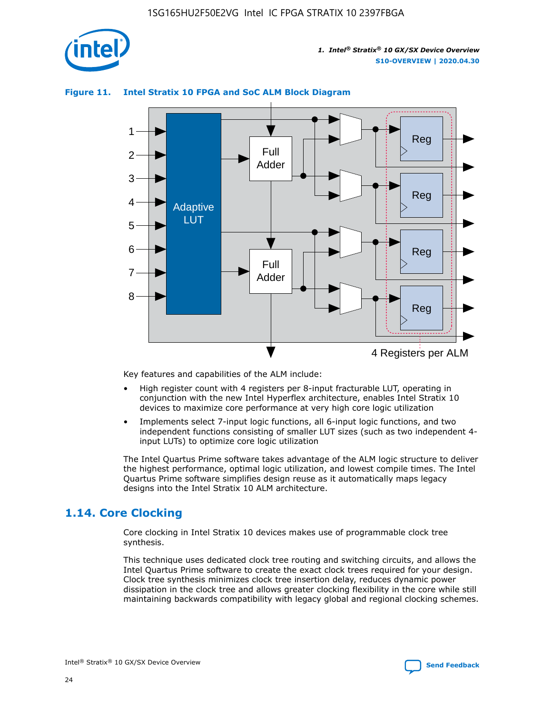

# Reg Reg 1 2 3 4 5 6 7 8 Reg Reg 4 Registers per ALM Full Adder Full Adder Adaptive **LUT**

#### **Figure 11. Intel Stratix 10 FPGA and SoC ALM Block Diagram**

Key features and capabilities of the ALM include:

- High register count with 4 registers per 8-input fracturable LUT, operating in conjunction with the new Intel Hyperflex architecture, enables Intel Stratix 10 devices to maximize core performance at very high core logic utilization
- Implements select 7-input logic functions, all 6-input logic functions, and two independent functions consisting of smaller LUT sizes (such as two independent 4 input LUTs) to optimize core logic utilization

The Intel Quartus Prime software takes advantage of the ALM logic structure to deliver the highest performance, optimal logic utilization, and lowest compile times. The Intel Quartus Prime software simplifies design reuse as it automatically maps legacy designs into the Intel Stratix 10 ALM architecture.

# **1.14. Core Clocking**

Core clocking in Intel Stratix 10 devices makes use of programmable clock tree synthesis.

This technique uses dedicated clock tree routing and switching circuits, and allows the Intel Quartus Prime software to create the exact clock trees required for your design. Clock tree synthesis minimizes clock tree insertion delay, reduces dynamic power dissipation in the clock tree and allows greater clocking flexibility in the core while still maintaining backwards compatibility with legacy global and regional clocking schemes.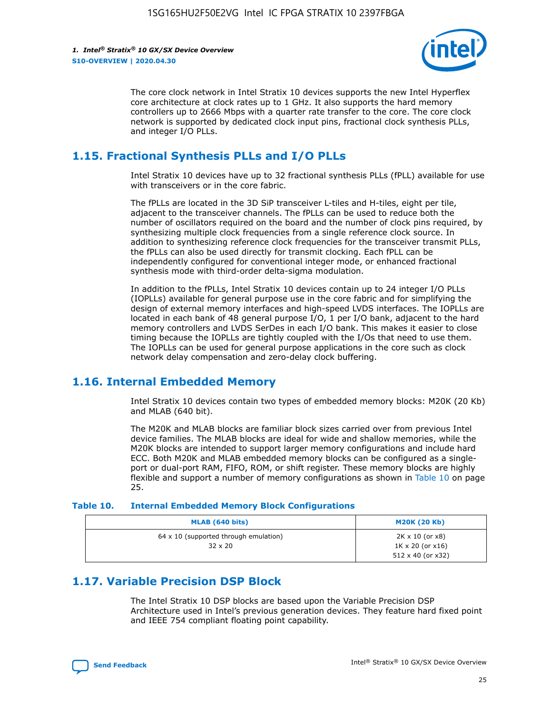

The core clock network in Intel Stratix 10 devices supports the new Intel Hyperflex core architecture at clock rates up to 1 GHz. It also supports the hard memory controllers up to 2666 Mbps with a quarter rate transfer to the core. The core clock network is supported by dedicated clock input pins, fractional clock synthesis PLLs, and integer I/O PLLs.

# **1.15. Fractional Synthesis PLLs and I/O PLLs**

Intel Stratix 10 devices have up to 32 fractional synthesis PLLs (fPLL) available for use with transceivers or in the core fabric.

The fPLLs are located in the 3D SiP transceiver L-tiles and H-tiles, eight per tile, adjacent to the transceiver channels. The fPLLs can be used to reduce both the number of oscillators required on the board and the number of clock pins required, by synthesizing multiple clock frequencies from a single reference clock source. In addition to synthesizing reference clock frequencies for the transceiver transmit PLLs, the fPLLs can also be used directly for transmit clocking. Each fPLL can be independently configured for conventional integer mode, or enhanced fractional synthesis mode with third-order delta-sigma modulation.

In addition to the fPLLs, Intel Stratix 10 devices contain up to 24 integer I/O PLLs (IOPLLs) available for general purpose use in the core fabric and for simplifying the design of external memory interfaces and high-speed LVDS interfaces. The IOPLLs are located in each bank of 48 general purpose I/O, 1 per I/O bank, adjacent to the hard memory controllers and LVDS SerDes in each I/O bank. This makes it easier to close timing because the IOPLLs are tightly coupled with the I/Os that need to use them. The IOPLLs can be used for general purpose applications in the core such as clock network delay compensation and zero-delay clock buffering.

# **1.16. Internal Embedded Memory**

Intel Stratix 10 devices contain two types of embedded memory blocks: M20K (20 Kb) and MLAB (640 bit).

The M20K and MLAB blocks are familiar block sizes carried over from previous Intel device families. The MLAB blocks are ideal for wide and shallow memories, while the M20K blocks are intended to support larger memory configurations and include hard ECC. Both M20K and MLAB embedded memory blocks can be configured as a singleport or dual-port RAM, FIFO, ROM, or shift register. These memory blocks are highly flexible and support a number of memory configurations as shown in Table 10 on page 25.

#### **Table 10. Internal Embedded Memory Block Configurations**

| MLAB (640 bits)                                                | <b>M20K (20 Kb)</b>                                                                    |
|----------------------------------------------------------------|----------------------------------------------------------------------------------------|
| $64 \times 10$ (supported through emulation)<br>$32 \times 20$ | $2K \times 10$ (or $x8$ )<br>$1K \times 20$ (or $x16$ )<br>$512 \times 40$ (or $x32$ ) |

# **1.17. Variable Precision DSP Block**

The Intel Stratix 10 DSP blocks are based upon the Variable Precision DSP Architecture used in Intel's previous generation devices. They feature hard fixed point and IEEE 754 compliant floating point capability.

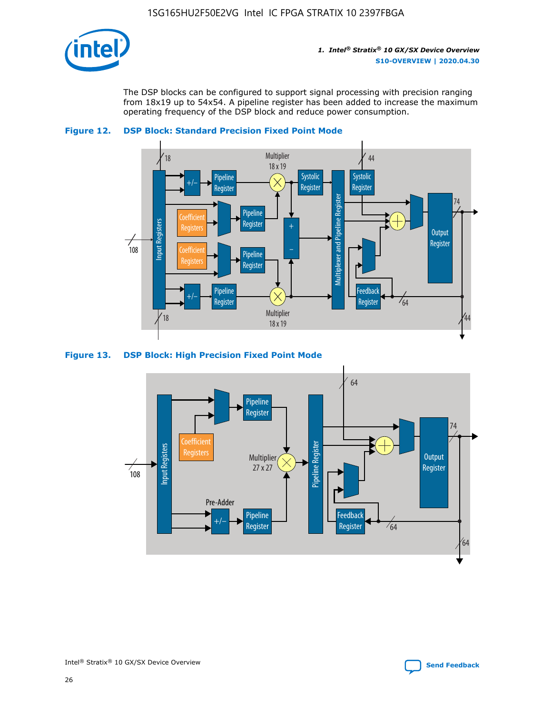

The DSP blocks can be configured to support signal processing with precision ranging from 18x19 up to 54x54. A pipeline register has been added to increase the maximum operating frequency of the DSP block and reduce power consumption.





#### **Figure 13. DSP Block: High Precision Fixed Point Mode**

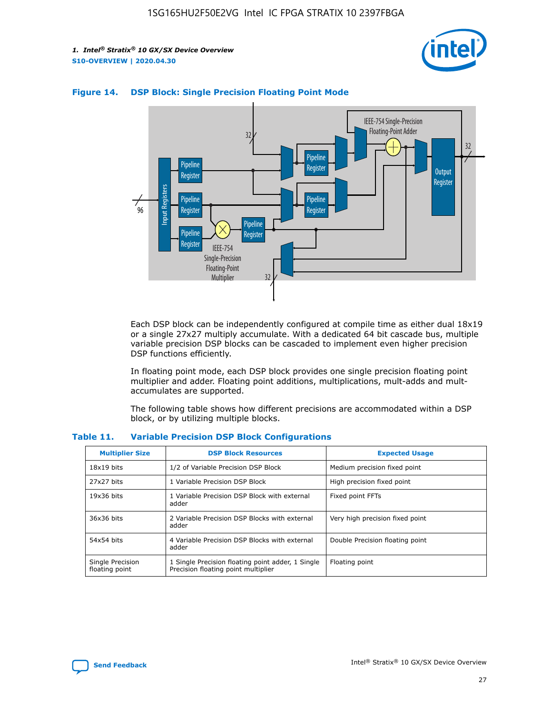



#### **Figure 14. DSP Block: Single Precision Floating Point Mode**

Each DSP block can be independently configured at compile time as either dual 18x19 or a single 27x27 multiply accumulate. With a dedicated 64 bit cascade bus, multiple variable precision DSP blocks can be cascaded to implement even higher precision DSP functions efficiently.

In floating point mode, each DSP block provides one single precision floating point multiplier and adder. Floating point additions, multiplications, mult-adds and multaccumulates are supported.

The following table shows how different precisions are accommodated within a DSP block, or by utilizing multiple blocks.

| <b>Multiplier Size</b>             | <b>DSP Block Resources</b>                                                               | <b>Expected Usage</b>           |
|------------------------------------|------------------------------------------------------------------------------------------|---------------------------------|
| $18x19$ bits                       | 1/2 of Variable Precision DSP Block                                                      | Medium precision fixed point    |
| 27x27 bits                         | 1 Variable Precision DSP Block                                                           | High precision fixed point      |
| $19x36$ bits                       | 1 Variable Precision DSP Block with external<br>adder                                    | Fixed point FFTs                |
| 36x36 bits                         | 2 Variable Precision DSP Blocks with external<br>adder                                   | Very high precision fixed point |
| 54x54 bits                         | 4 Variable Precision DSP Blocks with external<br>adder                                   | Double Precision floating point |
| Single Precision<br>floating point | 1 Single Precision floating point adder, 1 Single<br>Precision floating point multiplier | Floating point                  |

#### **Table 11. Variable Precision DSP Block Configurations**

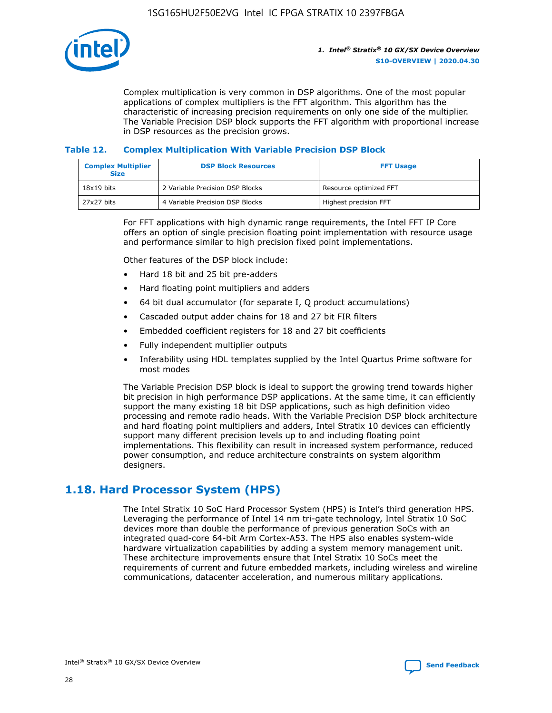

Complex multiplication is very common in DSP algorithms. One of the most popular applications of complex multipliers is the FFT algorithm. This algorithm has the characteristic of increasing precision requirements on only one side of the multiplier. The Variable Precision DSP block supports the FFT algorithm with proportional increase in DSP resources as the precision grows.

#### **Table 12. Complex Multiplication With Variable Precision DSP Block**

| <b>Complex Multiplier</b><br><b>Size</b> | <b>DSP Block Resources</b>      | <b>FFT Usage</b>       |
|------------------------------------------|---------------------------------|------------------------|
| $18x19$ bits                             | 2 Variable Precision DSP Blocks | Resource optimized FFT |
| 27x27 bits                               | 4 Variable Precision DSP Blocks | Highest precision FFT  |

For FFT applications with high dynamic range requirements, the Intel FFT IP Core offers an option of single precision floating point implementation with resource usage and performance similar to high precision fixed point implementations.

Other features of the DSP block include:

- Hard 18 bit and 25 bit pre-adders
- Hard floating point multipliers and adders
- 64 bit dual accumulator (for separate I, Q product accumulations)
- Cascaded output adder chains for 18 and 27 bit FIR filters
- Embedded coefficient registers for 18 and 27 bit coefficients
- Fully independent multiplier outputs
- Inferability using HDL templates supplied by the Intel Quartus Prime software for most modes

The Variable Precision DSP block is ideal to support the growing trend towards higher bit precision in high performance DSP applications. At the same time, it can efficiently support the many existing 18 bit DSP applications, such as high definition video processing and remote radio heads. With the Variable Precision DSP block architecture and hard floating point multipliers and adders, Intel Stratix 10 devices can efficiently support many different precision levels up to and including floating point implementations. This flexibility can result in increased system performance, reduced power consumption, and reduce architecture constraints on system algorithm designers.

# **1.18. Hard Processor System (HPS)**

The Intel Stratix 10 SoC Hard Processor System (HPS) is Intel's third generation HPS. Leveraging the performance of Intel 14 nm tri-gate technology, Intel Stratix 10 SoC devices more than double the performance of previous generation SoCs with an integrated quad-core 64-bit Arm Cortex-A53. The HPS also enables system-wide hardware virtualization capabilities by adding a system memory management unit. These architecture improvements ensure that Intel Stratix 10 SoCs meet the requirements of current and future embedded markets, including wireless and wireline communications, datacenter acceleration, and numerous military applications.

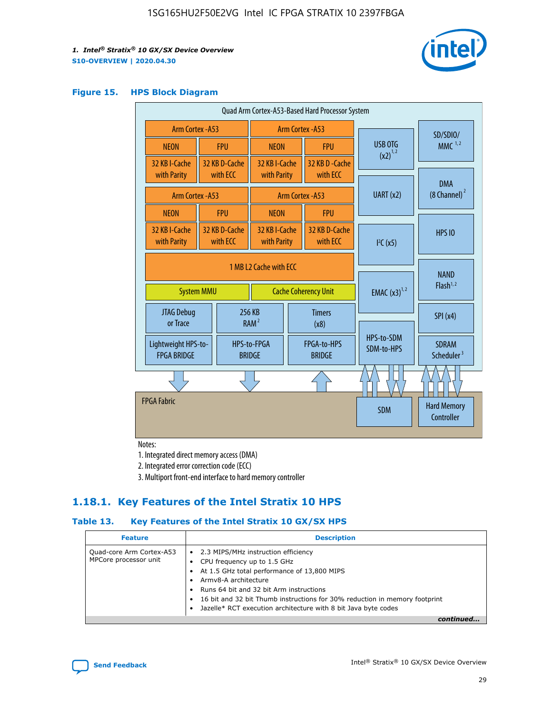

#### **Figure 15. HPS Block Diagram**

| Quad Arm Cortex-A53-Based Hard Processor System |                        |                           |                               |                             |                              |                         |                          |                                        |                                     |
|-------------------------------------------------|------------------------|---------------------------|-------------------------------|-----------------------------|------------------------------|-------------------------|--------------------------|----------------------------------------|-------------------------------------|
| <b>Arm Cortex - A53</b>                         |                        |                           | Arm Cortex - A53              |                             |                              |                         | SD/SDIO/                 |                                        |                                     |
| <b>NEON</b>                                     |                        | <b>FPU</b>                | <b>NEON</b>                   |                             | <b>FPU</b>                   |                         | USB OTG                  | $MMC$ <sup>1,2</sup>                   |                                     |
| 32 KB I-Cache                                   |                        | 32 KB D-Cache             | 32 KB I-Cache                 |                             | 32 KB D - Cache              |                         | $(x2)^{1,2}$             |                                        |                                     |
| with Parity                                     |                        | with ECC                  | with Parity                   |                             | with ECC                     |                         |                          | <b>DMA</b>                             |                                     |
| Arm Cortex - A53                                |                        |                           | UART (x2)<br>Arm Cortex - A53 |                             |                              | $(8 \text{ Channel})^2$ |                          |                                        |                                     |
| <b>NEON</b>                                     |                        | <b>FPU</b>                | <b>NEON</b>                   |                             | <b>FPU</b>                   |                         |                          |                                        |                                     |
| 32 KB I-Cache<br>with Parity                    |                        | 32 KB D-Cache<br>with ECC | 32 KB I-Cache<br>with Parity  |                             | 32 KB D-Cache<br>with ECC    |                         | I <sup>2</sup> C(x5)     | <b>HPS 10</b>                          |                                     |
|                                                 | 1 MB L2 Cache with ECC |                           |                               |                             |                              |                         |                          |                                        |                                     |
| <b>System MMU</b>                               |                        |                           |                               | <b>Cache Coherency Unit</b> |                              |                         |                          | <b>EMAC</b> $(x3)^{1,2}$               | <b>NAND</b><br>Flash <sup>1,2</sup> |
| JTAG Debug<br>or Trace                          |                        |                           | 256 KB<br>RAM <sup>2</sup>    | <b>Timers</b><br>(x8)       |                              |                         |                          | SPI(x4)                                |                                     |
| Lightweight HPS-to-<br><b>FPGA BRIDGE</b>       |                        |                           | HPS-to-FPGA<br><b>BRIDGE</b>  |                             | FPGA-to-HPS<br><b>BRIDGE</b> |                         | HPS-to-SDM<br>SDM-to-HPS | <b>SDRAM</b><br>Scheduler <sup>3</sup> |                                     |
|                                                 |                        |                           |                               |                             |                              |                         |                          |                                        |                                     |
| <b>FPGA Fabric</b>                              |                        |                           |                               |                             |                              |                         | <b>SDM</b>               | <b>Hard Memory</b><br>Controller       |                                     |
|                                                 |                        |                           |                               |                             |                              |                         |                          |                                        |                                     |

Notes:

1. Integrated direct memory access (DMA)

2. Integrated error correction code (ECC)

3. Multiport front-end interface to hard memory controller

### **1.18.1. Key Features of the Intel Stratix 10 HPS**

#### **Table 13. Key Features of the Intel Stratix 10 GX/SX HPS**

| <b>Feature</b>                                    | <b>Description</b>                                                                                                                                                                                                                                                                                                                                     |
|---------------------------------------------------|--------------------------------------------------------------------------------------------------------------------------------------------------------------------------------------------------------------------------------------------------------------------------------------------------------------------------------------------------------|
| Quad-core Arm Cortex-A53<br>MPCore processor unit | 2.3 MIPS/MHz instruction efficiency<br>$\bullet$<br>CPU frequency up to 1.5 GHz<br>٠<br>At 1.5 GHz total performance of 13,800 MIPS<br>Army8-A architecture<br>Runs 64 bit and 32 bit Arm instructions<br>16 bit and 32 bit Thumb instructions for 30% reduction in memory footprint<br>Jazelle* RCT execution architecture with 8 bit Java byte codes |
|                                                   |                                                                                                                                                                                                                                                                                                                                                        |

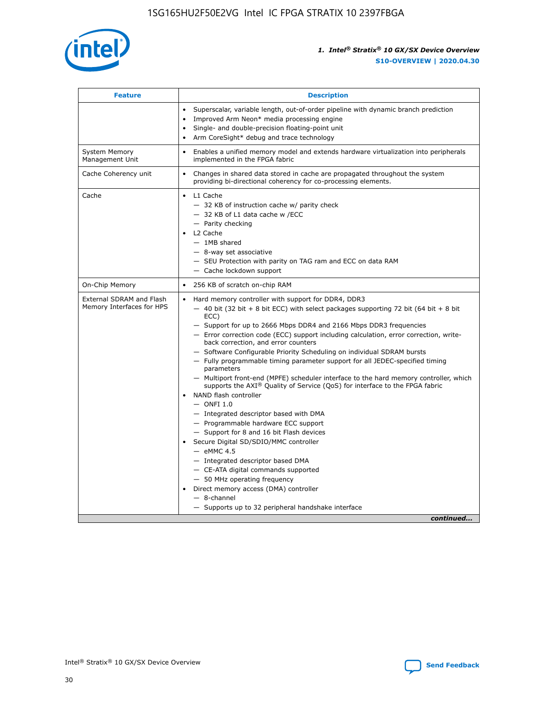

| <b>Feature</b>                                        | <b>Description</b>                                                                                                                                                                                                                                                                                                                                                                                                                                                                                                                                                                                                                                                                                                                                                                                                                                                                                                                                                                                                                                                                                                                                                                                               |  |  |
|-------------------------------------------------------|------------------------------------------------------------------------------------------------------------------------------------------------------------------------------------------------------------------------------------------------------------------------------------------------------------------------------------------------------------------------------------------------------------------------------------------------------------------------------------------------------------------------------------------------------------------------------------------------------------------------------------------------------------------------------------------------------------------------------------------------------------------------------------------------------------------------------------------------------------------------------------------------------------------------------------------------------------------------------------------------------------------------------------------------------------------------------------------------------------------------------------------------------------------------------------------------------------------|--|--|
|                                                       | Superscalar, variable length, out-of-order pipeline with dynamic branch prediction<br>Improved Arm Neon* media processing engine<br>Single- and double-precision floating-point unit<br>Arm CoreSight* debug and trace technology<br>$\bullet$                                                                                                                                                                                                                                                                                                                                                                                                                                                                                                                                                                                                                                                                                                                                                                                                                                                                                                                                                                   |  |  |
| <b>System Memory</b><br>Management Unit               | Enables a unified memory model and extends hardware virtualization into peripherals<br>implemented in the FPGA fabric                                                                                                                                                                                                                                                                                                                                                                                                                                                                                                                                                                                                                                                                                                                                                                                                                                                                                                                                                                                                                                                                                            |  |  |
| Cache Coherency unit                                  | Changes in shared data stored in cache are propagated throughout the system<br>$\bullet$<br>providing bi-directional coherency for co-processing elements.                                                                                                                                                                                                                                                                                                                                                                                                                                                                                                                                                                                                                                                                                                                                                                                                                                                                                                                                                                                                                                                       |  |  |
| Cache                                                 | L1 Cache<br>$\bullet$<br>- 32 KB of instruction cache w/ parity check<br>- 32 KB of L1 data cache w /ECC<br>- Parity checking<br>L <sub>2</sub> Cache<br>$-$ 1MB shared<br>$-$ 8-way set associative<br>- SEU Protection with parity on TAG ram and ECC on data RAM<br>- Cache lockdown support                                                                                                                                                                                                                                                                                                                                                                                                                                                                                                                                                                                                                                                                                                                                                                                                                                                                                                                  |  |  |
| On-Chip Memory                                        | 256 KB of scratch on-chip RAM                                                                                                                                                                                                                                                                                                                                                                                                                                                                                                                                                                                                                                                                                                                                                                                                                                                                                                                                                                                                                                                                                                                                                                                    |  |  |
| External SDRAM and Flash<br>Memory Interfaces for HPS | Hard memory controller with support for DDR4, DDR3<br>$\bullet$<br>$-$ 40 bit (32 bit + 8 bit ECC) with select packages supporting 72 bit (64 bit + 8 bit<br>ECC)<br>- Support for up to 2666 Mbps DDR4 and 2166 Mbps DDR3 frequencies<br>- Error correction code (ECC) support including calculation, error correction, write-<br>back correction, and error counters<br>- Software Configurable Priority Scheduling on individual SDRAM bursts<br>- Fully programmable timing parameter support for all JEDEC-specified timing<br>parameters<br>- Multiport front-end (MPFE) scheduler interface to the hard memory controller, which<br>supports the $AXI^{\circledR}$ Quality of Service (QoS) for interface to the FPGA fabric<br>NAND flash controller<br>$-$ ONFI 1.0<br>- Integrated descriptor based with DMA<br>- Programmable hardware ECC support<br>- Support for 8 and 16 bit Flash devices<br>Secure Digital SD/SDIO/MMC controller<br>$-$ eMMC 4.5<br>- Integrated descriptor based DMA<br>- CE-ATA digital commands supported<br>- 50 MHz operating frequency<br>Direct memory access (DMA) controller<br>٠<br>$-$ 8-channel<br>- Supports up to 32 peripheral handshake interface<br>continued |  |  |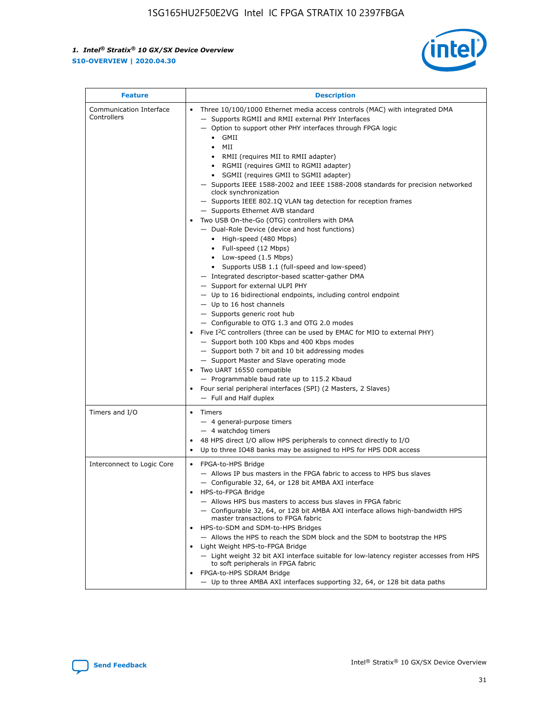

| <b>Feature</b>                         | <b>Description</b>                                                                                                                                                                                                                                                                                                                                                                                                                                                                                                                                                                                                                                                                                                                                                                                                                                                                                                                                                                                                                                                                                                                                                                                                                                                                                                                                                                                                                                                                                                  |  |
|----------------------------------------|---------------------------------------------------------------------------------------------------------------------------------------------------------------------------------------------------------------------------------------------------------------------------------------------------------------------------------------------------------------------------------------------------------------------------------------------------------------------------------------------------------------------------------------------------------------------------------------------------------------------------------------------------------------------------------------------------------------------------------------------------------------------------------------------------------------------------------------------------------------------------------------------------------------------------------------------------------------------------------------------------------------------------------------------------------------------------------------------------------------------------------------------------------------------------------------------------------------------------------------------------------------------------------------------------------------------------------------------------------------------------------------------------------------------------------------------------------------------------------------------------------------------|--|
| Communication Interface<br>Controllers | Three 10/100/1000 Ethernet media access controls (MAC) with integrated DMA<br>$\bullet$<br>- Supports RGMII and RMII external PHY Interfaces<br>- Option to support other PHY interfaces through FPGA logic<br>GMII<br>$\bullet$<br>MII<br>$\bullet$<br>• RMII (requires MII to RMII adapter)<br>• RGMII (requires GMII to RGMII adapter)<br>• SGMII (requires GMII to SGMII adapter)<br>- Supports IEEE 1588-2002 and IEEE 1588-2008 standards for precision networked<br>clock synchronization<br>- Supports IEEE 802.1Q VLAN tag detection for reception frames<br>- Supports Ethernet AVB standard<br>Two USB On-the-Go (OTG) controllers with DMA<br>- Dual-Role Device (device and host functions)<br>• High-speed (480 Mbps)<br>• Full-speed (12 Mbps)<br>• Low-speed (1.5 Mbps)<br>• Supports USB 1.1 (full-speed and low-speed)<br>- Integrated descriptor-based scatter-gather DMA<br>- Support for external ULPI PHY<br>- Up to 16 bidirectional endpoints, including control endpoint<br>$-$ Up to 16 host channels<br>- Supports generic root hub<br>- Configurable to OTG 1.3 and OTG 2.0 modes<br>Five $I^2C$ controllers (three can be used by EMAC for MIO to external PHY)<br>- Support both 100 Kbps and 400 Kbps modes<br>- Support both 7 bit and 10 bit addressing modes<br>- Support Master and Slave operating mode<br>Two UART 16550 compatible<br>- Programmable baud rate up to 115.2 Kbaud<br>• Four serial peripheral interfaces (SPI) (2 Masters, 2 Slaves)<br>- Full and Half duplex |  |
| Timers and I/O                         | $\bullet$ Timers<br>- 4 general-purpose timers<br>$-4$ watchdog timers<br>48 HPS direct I/O allow HPS peripherals to connect directly to I/O<br>Up to three IO48 banks may be assigned to HPS for HPS DDR access                                                                                                                                                                                                                                                                                                                                                                                                                                                                                                                                                                                                                                                                                                                                                                                                                                                                                                                                                                                                                                                                                                                                                                                                                                                                                                    |  |
| Interconnect to Logic Core             | • FPGA-to-HPS Bridge<br>- Allows IP bus masters in the FPGA fabric to access to HPS bus slaves<br>- Configurable 32, 64, or 128 bit AMBA AXI interface<br>HPS-to-FPGA Bridge<br>- Allows HPS bus masters to access bus slaves in FPGA fabric<br>- Configurable 32, 64, or 128 bit AMBA AXI interface allows high-bandwidth HPS<br>master transactions to FPGA fabric<br>HPS-to-SDM and SDM-to-HPS Bridges<br>- Allows the HPS to reach the SDM block and the SDM to bootstrap the HPS<br>Light Weight HPS-to-FPGA Bridge<br>- Light weight 32 bit AXI interface suitable for low-latency register accesses from HPS<br>to soft peripherals in FPGA fabric<br>FPGA-to-HPS SDRAM Bridge<br>- Up to three AMBA AXI interfaces supporting 32, 64, or 128 bit data paths                                                                                                                                                                                                                                                                                                                                                                                                                                                                                                                                                                                                                                                                                                                                                 |  |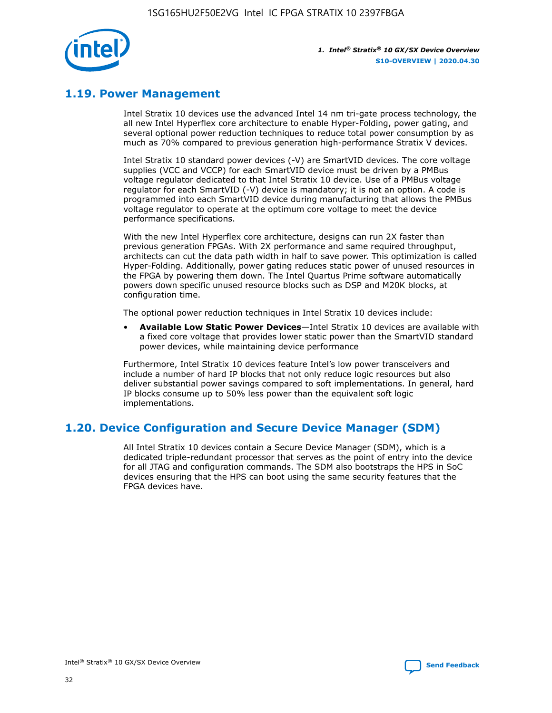

# **1.19. Power Management**

Intel Stratix 10 devices use the advanced Intel 14 nm tri-gate process technology, the all new Intel Hyperflex core architecture to enable Hyper-Folding, power gating, and several optional power reduction techniques to reduce total power consumption by as much as 70% compared to previous generation high-performance Stratix V devices.

Intel Stratix 10 standard power devices (-V) are SmartVID devices. The core voltage supplies (VCC and VCCP) for each SmartVID device must be driven by a PMBus voltage regulator dedicated to that Intel Stratix 10 device. Use of a PMBus voltage regulator for each SmartVID (-V) device is mandatory; it is not an option. A code is programmed into each SmartVID device during manufacturing that allows the PMBus voltage regulator to operate at the optimum core voltage to meet the device performance specifications.

With the new Intel Hyperflex core architecture, designs can run 2X faster than previous generation FPGAs. With 2X performance and same required throughput, architects can cut the data path width in half to save power. This optimization is called Hyper-Folding. Additionally, power gating reduces static power of unused resources in the FPGA by powering them down. The Intel Quartus Prime software automatically powers down specific unused resource blocks such as DSP and M20K blocks, at configuration time.

The optional power reduction techniques in Intel Stratix 10 devices include:

• **Available Low Static Power Devices**—Intel Stratix 10 devices are available with a fixed core voltage that provides lower static power than the SmartVID standard power devices, while maintaining device performance

Furthermore, Intel Stratix 10 devices feature Intel's low power transceivers and include a number of hard IP blocks that not only reduce logic resources but also deliver substantial power savings compared to soft implementations. In general, hard IP blocks consume up to 50% less power than the equivalent soft logic implementations.

# **1.20. Device Configuration and Secure Device Manager (SDM)**

All Intel Stratix 10 devices contain a Secure Device Manager (SDM), which is a dedicated triple-redundant processor that serves as the point of entry into the device for all JTAG and configuration commands. The SDM also bootstraps the HPS in SoC devices ensuring that the HPS can boot using the same security features that the FPGA devices have.

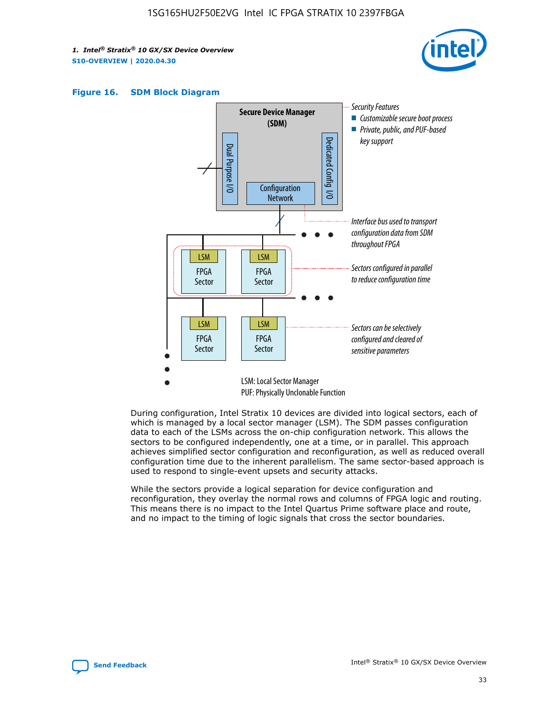





During configuration, Intel Stratix 10 devices are divided into logical sectors, each of which is managed by a local sector manager (LSM). The SDM passes configuration data to each of the LSMs across the on-chip configuration network. This allows the sectors to be configured independently, one at a time, or in parallel. This approach achieves simplified sector configuration and reconfiguration, as well as reduced overall configuration time due to the inherent parallelism. The same sector-based approach is used to respond to single-event upsets and security attacks.

While the sectors provide a logical separation for device configuration and reconfiguration, they overlay the normal rows and columns of FPGA logic and routing. This means there is no impact to the Intel Quartus Prime software place and route, and no impact to the timing of logic signals that cross the sector boundaries.

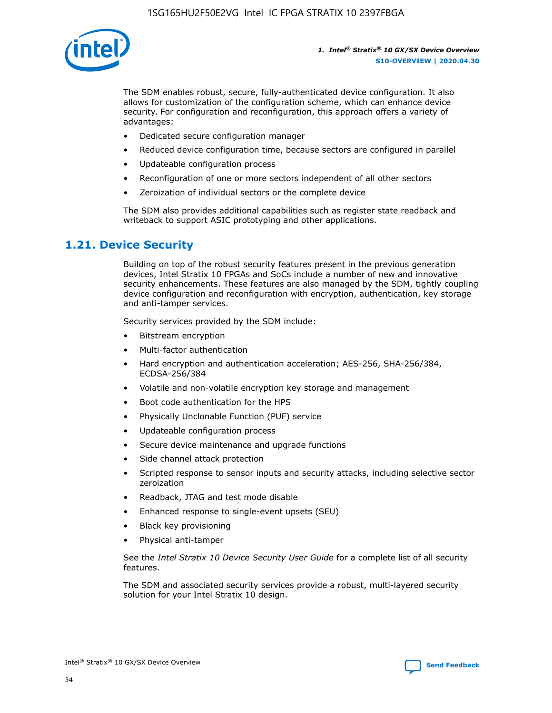

The SDM enables robust, secure, fully-authenticated device configuration. It also allows for customization of the configuration scheme, which can enhance device security. For configuration and reconfiguration, this approach offers a variety of advantages:

- Dedicated secure configuration manager
- Reduced device configuration time, because sectors are configured in parallel
- Updateable configuration process
- Reconfiguration of one or more sectors independent of all other sectors
- Zeroization of individual sectors or the complete device

The SDM also provides additional capabilities such as register state readback and writeback to support ASIC prototyping and other applications.

### **1.21. Device Security**

Building on top of the robust security features present in the previous generation devices, Intel Stratix 10 FPGAs and SoCs include a number of new and innovative security enhancements. These features are also managed by the SDM, tightly coupling device configuration and reconfiguration with encryption, authentication, key storage and anti-tamper services.

Security services provided by the SDM include:

- Bitstream encryption
- Multi-factor authentication
- Hard encryption and authentication acceleration; AES-256, SHA-256/384, ECDSA-256/384
- Volatile and non-volatile encryption key storage and management
- Boot code authentication for the HPS
- Physically Unclonable Function (PUF) service
- Updateable configuration process
- Secure device maintenance and upgrade functions
- Side channel attack protection
- Scripted response to sensor inputs and security attacks, including selective sector zeroization
- Readback, JTAG and test mode disable
- Enhanced response to single-event upsets (SEU)
- Black key provisioning
- Physical anti-tamper

See the *Intel Stratix 10 Device Security User Guide* for a complete list of all security features.

The SDM and associated security services provide a robust, multi-layered security solution for your Intel Stratix 10 design.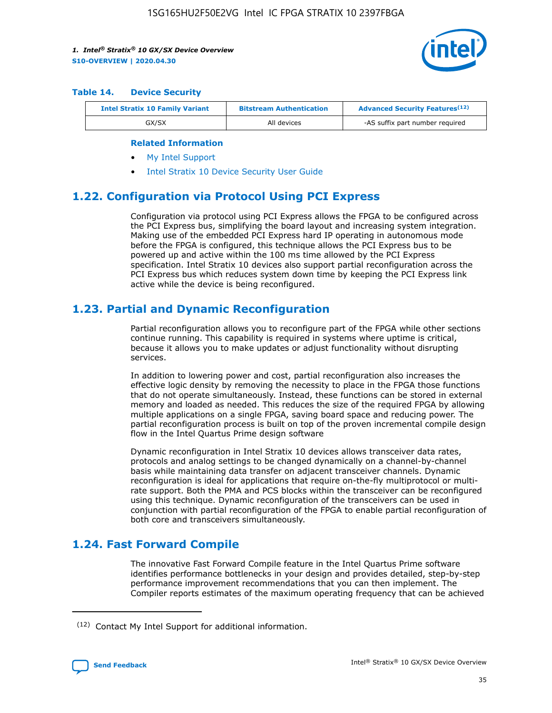

#### **Table 14. Device Security**

| <b>Intel Stratix 10 Family Variant</b> | <b>Bitstream Authentication</b> | <b>Advanced Security Features</b> <sup>(12)</sup> |  |  |
|----------------------------------------|---------------------------------|---------------------------------------------------|--|--|
| GX/SX                                  | All devices                     | -AS suffix part number required                   |  |  |

#### **Related Information**

- [My Intel Support](https://www.intel.com/content/www/us/en/programmable/my-intel/mal-home.html)
- [Intel Stratix 10 Device Security User Guide](https://www.intel.com/content/www/us/en/programmable/documentation/ndq1483601370898.html#wcd1483611014402)

# **1.22. Configuration via Protocol Using PCI Express**

Configuration via protocol using PCI Express allows the FPGA to be configured across the PCI Express bus, simplifying the board layout and increasing system integration. Making use of the embedded PCI Express hard IP operating in autonomous mode before the FPGA is configured, this technique allows the PCI Express bus to be powered up and active within the 100 ms time allowed by the PCI Express specification. Intel Stratix 10 devices also support partial reconfiguration across the PCI Express bus which reduces system down time by keeping the PCI Express link active while the device is being reconfigured.

# **1.23. Partial and Dynamic Reconfiguration**

Partial reconfiguration allows you to reconfigure part of the FPGA while other sections continue running. This capability is required in systems where uptime is critical, because it allows you to make updates or adjust functionality without disrupting services.

In addition to lowering power and cost, partial reconfiguration also increases the effective logic density by removing the necessity to place in the FPGA those functions that do not operate simultaneously. Instead, these functions can be stored in external memory and loaded as needed. This reduces the size of the required FPGA by allowing multiple applications on a single FPGA, saving board space and reducing power. The partial reconfiguration process is built on top of the proven incremental compile design flow in the Intel Quartus Prime design software

Dynamic reconfiguration in Intel Stratix 10 devices allows transceiver data rates, protocols and analog settings to be changed dynamically on a channel-by-channel basis while maintaining data transfer on adjacent transceiver channels. Dynamic reconfiguration is ideal for applications that require on-the-fly multiprotocol or multirate support. Both the PMA and PCS blocks within the transceiver can be reconfigured using this technique. Dynamic reconfiguration of the transceivers can be used in conjunction with partial reconfiguration of the FPGA to enable partial reconfiguration of both core and transceivers simultaneously.

# **1.24. Fast Forward Compile**

The innovative Fast Forward Compile feature in the Intel Quartus Prime software identifies performance bottlenecks in your design and provides detailed, step-by-step performance improvement recommendations that you can then implement. The Compiler reports estimates of the maximum operating frequency that can be achieved

<sup>(12)</sup> Contact My Intel Support for additional information.

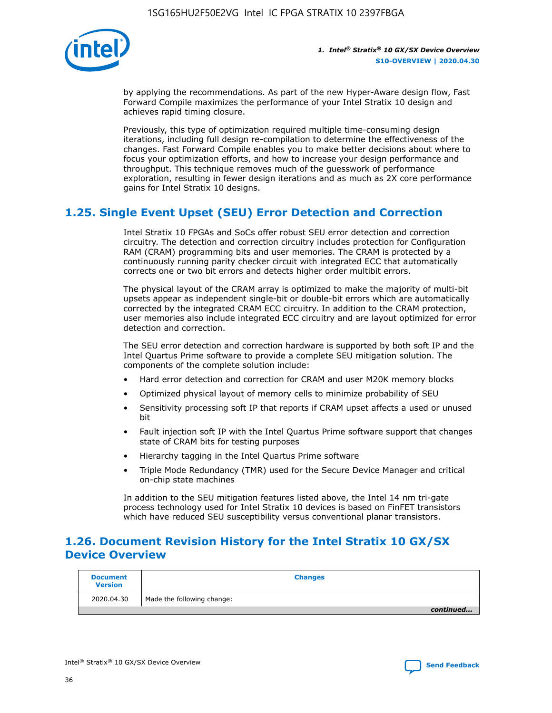

by applying the recommendations. As part of the new Hyper-Aware design flow, Fast Forward Compile maximizes the performance of your Intel Stratix 10 design and achieves rapid timing closure.

Previously, this type of optimization required multiple time-consuming design iterations, including full design re-compilation to determine the effectiveness of the changes. Fast Forward Compile enables you to make better decisions about where to focus your optimization efforts, and how to increase your design performance and throughput. This technique removes much of the guesswork of performance exploration, resulting in fewer design iterations and as much as 2X core performance gains for Intel Stratix 10 designs.

# **1.25. Single Event Upset (SEU) Error Detection and Correction**

Intel Stratix 10 FPGAs and SoCs offer robust SEU error detection and correction circuitry. The detection and correction circuitry includes protection for Configuration RAM (CRAM) programming bits and user memories. The CRAM is protected by a continuously running parity checker circuit with integrated ECC that automatically corrects one or two bit errors and detects higher order multibit errors.

The physical layout of the CRAM array is optimized to make the majority of multi-bit upsets appear as independent single-bit or double-bit errors which are automatically corrected by the integrated CRAM ECC circuitry. In addition to the CRAM protection, user memories also include integrated ECC circuitry and are layout optimized for error detection and correction.

The SEU error detection and correction hardware is supported by both soft IP and the Intel Quartus Prime software to provide a complete SEU mitigation solution. The components of the complete solution include:

- Hard error detection and correction for CRAM and user M20K memory blocks
- Optimized physical layout of memory cells to minimize probability of SEU
- Sensitivity processing soft IP that reports if CRAM upset affects a used or unused bit
- Fault injection soft IP with the Intel Quartus Prime software support that changes state of CRAM bits for testing purposes
- Hierarchy tagging in the Intel Quartus Prime software
- Triple Mode Redundancy (TMR) used for the Secure Device Manager and critical on-chip state machines

In addition to the SEU mitigation features listed above, the Intel 14 nm tri-gate process technology used for Intel Stratix 10 devices is based on FinFET transistors which have reduced SEU susceptibility versus conventional planar transistors.

# **1.26. Document Revision History for the Intel Stratix 10 GX/SX Device Overview**

| <b>Document</b><br><b>Version</b> | <b>Changes</b>             |
|-----------------------------------|----------------------------|
| 2020.04.30                        | Made the following change: |
|                                   | continued                  |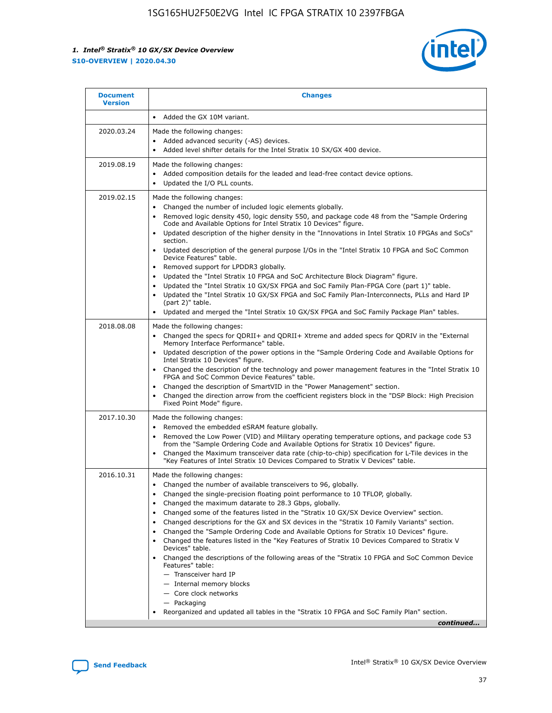

| <b>Document</b><br><b>Version</b> | <b>Changes</b>                                                                                                                                                                                                                                                                                                                                                                                                                                                                                                                                                                                                                                                                                                                                                                                                                                                                                                                                                                                              |
|-----------------------------------|-------------------------------------------------------------------------------------------------------------------------------------------------------------------------------------------------------------------------------------------------------------------------------------------------------------------------------------------------------------------------------------------------------------------------------------------------------------------------------------------------------------------------------------------------------------------------------------------------------------------------------------------------------------------------------------------------------------------------------------------------------------------------------------------------------------------------------------------------------------------------------------------------------------------------------------------------------------------------------------------------------------|
|                                   | Added the GX 10M variant.                                                                                                                                                                                                                                                                                                                                                                                                                                                                                                                                                                                                                                                                                                                                                                                                                                                                                                                                                                                   |
| 2020.03.24                        | Made the following changes:<br>Added advanced security (-AS) devices.<br>Added level shifter details for the Intel Stratix 10 SX/GX 400 device.                                                                                                                                                                                                                                                                                                                                                                                                                                                                                                                                                                                                                                                                                                                                                                                                                                                             |
| 2019.08.19                        | Made the following changes:<br>Added composition details for the leaded and lead-free contact device options.<br>$\bullet$<br>Updated the I/O PLL counts.                                                                                                                                                                                                                                                                                                                                                                                                                                                                                                                                                                                                                                                                                                                                                                                                                                                   |
| 2019.02.15                        | Made the following changes:<br>Changed the number of included logic elements globally.<br>$\bullet$<br>Removed logic density 450, logic density 550, and package code 48 from the "Sample Ordering<br>$\bullet$<br>Code and Available Options for Intel Stratix 10 Devices" figure.<br>Updated description of the higher density in the "Innovations in Intel Stratix 10 FPGAs and SoCs"<br>section.<br>Updated description of the general purpose I/Os in the "Intel Stratix 10 FPGA and SoC Common<br>$\bullet$<br>Device Features" table.<br>Removed support for LPDDR3 globally.<br>Updated the "Intel Stratix 10 FPGA and SoC Architecture Block Diagram" figure.<br>$\bullet$<br>Updated the "Intel Stratix 10 GX/SX FPGA and SoC Family Plan-FPGA Core (part 1)" table.<br>$\bullet$<br>Updated the "Intel Stratix 10 GX/SX FPGA and SoC Family Plan-Interconnects, PLLs and Hard IP<br>(part 2)" table.<br>Updated and merged the "Intel Stratix 10 GX/SX FPGA and SoC Family Package Plan" tables. |
| 2018.08.08                        | Made the following changes:<br>Changed the specs for QDRII+ and QDRII+ Xtreme and added specs for QDRIV in the "External<br>$\bullet$<br>Memory Interface Performance" table.<br>Updated description of the power options in the "Sample Ordering Code and Available Options for<br>Intel Stratix 10 Devices" figure.<br>Changed the description of the technology and power management features in the "Intel Stratix 10<br>FPGA and SoC Common Device Features" table.<br>Changed the description of SmartVID in the "Power Management" section.<br>Changed the direction arrow from the coefficient registers block in the "DSP Block: High Precision<br>$\bullet$<br>Fixed Point Mode" figure.                                                                                                                                                                                                                                                                                                          |
| 2017.10.30                        | Made the following changes:<br>Removed the embedded eSRAM feature globally.<br>$\bullet$<br>Removed the Low Power (VID) and Military operating temperature options, and package code 53<br>$\bullet$<br>from the "Sample Ordering Code and Available Options for Stratix 10 Devices" figure.<br>Changed the Maximum transceiver data rate (chip-to-chip) specification for L-Tile devices in the<br>"Key Features of Intel Stratix 10 Devices Compared to Stratix V Devices" table.                                                                                                                                                                                                                                                                                                                                                                                                                                                                                                                         |
| 2016.10.31                        | Made the following changes:<br>• Changed the number of available transceivers to 96, globally.<br>Changed the single-precision floating point performance to 10 TFLOP, globally.<br>Changed the maximum datarate to 28.3 Gbps, globally.<br>٠<br>Changed some of the features listed in the "Stratix 10 GX/SX Device Overview" section.<br>$\bullet$<br>Changed descriptions for the GX and SX devices in the "Stratix 10 Family Variants" section.<br>$\bullet$<br>Changed the "Sample Ordering Code and Available Options for Stratix 10 Devices" figure.<br>Changed the features listed in the "Key Features of Stratix 10 Devices Compared to Stratix V<br>Devices" table.<br>Changed the descriptions of the following areas of the "Stratix 10 FPGA and SoC Common Device<br>Features" table:<br>- Transceiver hard IP<br>- Internal memory blocks<br>- Core clock networks<br>- Packaging<br>Reorganized and updated all tables in the "Stratix 10 FPGA and SoC Family Plan" section.                |
|                                   | continued                                                                                                                                                                                                                                                                                                                                                                                                                                                                                                                                                                                                                                                                                                                                                                                                                                                                                                                                                                                                   |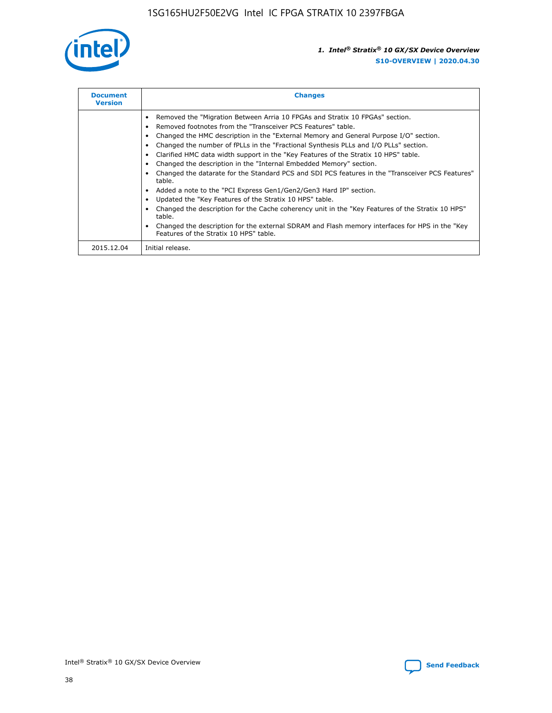

| <b>Document</b><br><b>Version</b> | <b>Changes</b>                                                                                                                                                                                                                                                                                                                                                                                                                                                                                                                                                                                                                                                                                                                                                                                                                                                                                                                                                                                     |  |
|-----------------------------------|----------------------------------------------------------------------------------------------------------------------------------------------------------------------------------------------------------------------------------------------------------------------------------------------------------------------------------------------------------------------------------------------------------------------------------------------------------------------------------------------------------------------------------------------------------------------------------------------------------------------------------------------------------------------------------------------------------------------------------------------------------------------------------------------------------------------------------------------------------------------------------------------------------------------------------------------------------------------------------------------------|--|
|                                   | Removed the "Migration Between Arria 10 FPGAs and Stratix 10 FPGAs" section.<br>Removed footnotes from the "Transceiver PCS Features" table.<br>Changed the HMC description in the "External Memory and General Purpose I/O" section.<br>Changed the number of fPLLs in the "Fractional Synthesis PLLs and I/O PLLs" section.<br>Clarified HMC data width support in the "Key Features of the Stratix 10 HPS" table.<br>Changed the description in the "Internal Embedded Memory" section.<br>Changed the datarate for the Standard PCS and SDI PCS features in the "Transceiver PCS Features"<br>table.<br>Added a note to the "PCI Express Gen1/Gen2/Gen3 Hard IP" section.<br>Updated the "Key Features of the Stratix 10 HPS" table.<br>Changed the description for the Cache coherency unit in the "Key Features of the Stratix 10 HPS"<br>table.<br>Changed the description for the external SDRAM and Flash memory interfaces for HPS in the "Key<br>Features of the Stratix 10 HPS" table. |  |
| 2015.12.04                        | Initial release.                                                                                                                                                                                                                                                                                                                                                                                                                                                                                                                                                                                                                                                                                                                                                                                                                                                                                                                                                                                   |  |